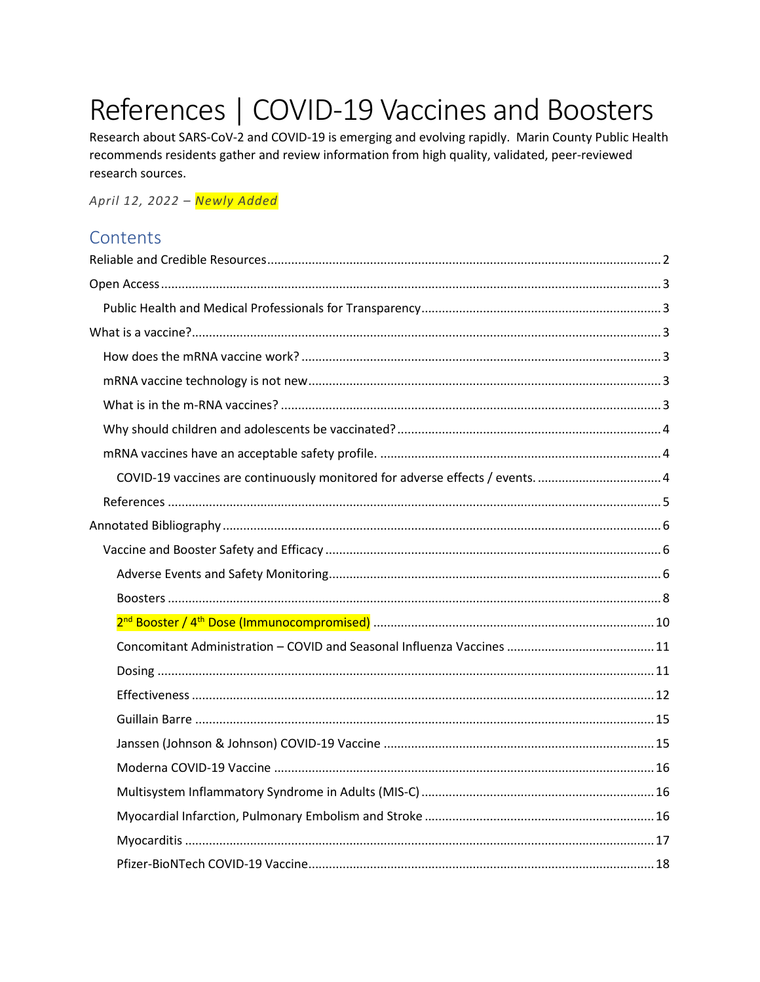# References | COVID-19 Vaccines and Boosters

Research about SARS-CoV-2 and COVID-19 is emerging and evolving rapidly. Marin County Public Health recommends residents gather and review information from high quality, validated, peer-reviewed research sources.

April 12, 2022 - Newly Added

## Contents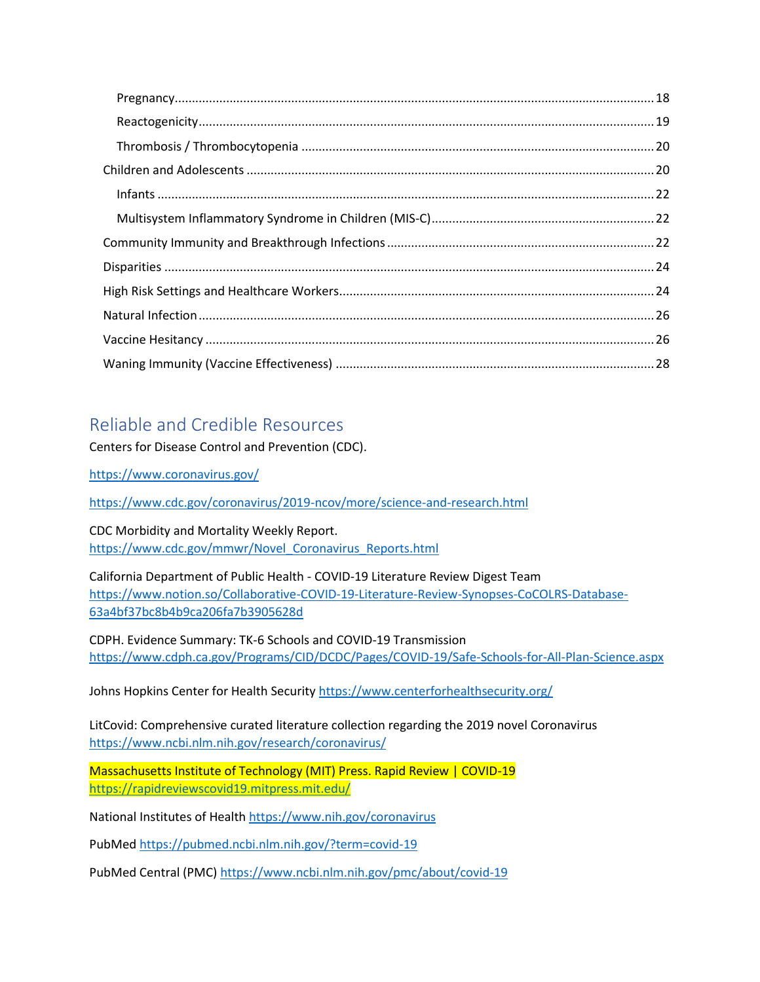## <span id="page-1-0"></span>Reliable and Credible Resources

Centers for Disease Control and Prevention (CDC).

<https://www.coronavirus.gov/>

<https://www.cdc.gov/coronavirus/2019-ncov/more/science-and-research.html>

CDC Morbidity and Mortality Weekly Report. [https://www.cdc.gov/mmwr/Novel\\_Coronavirus\\_Reports.html](https://www.cdc.gov/mmwr/Novel_Coronavirus_Reports.html)

California Department of Public Health - COVID-19 Literature Review Digest Team [https://www.notion.so/Collaborative-COVID-19-Literature-Review-Synopses-CoCOLRS-Database-](https://www.notion.so/Collaborative-COVID-19-Literature-Review-Synopses-CoCOLRS-Database-63a4bf37bc8b4b9ca206fa7b3905628d)[63a4bf37bc8b4b9ca206fa7b3905628d](https://www.notion.so/Collaborative-COVID-19-Literature-Review-Synopses-CoCOLRS-Database-63a4bf37bc8b4b9ca206fa7b3905628d)

CDPH. Evidence Summary: TK-6 Schools and COVID-19 Transmission <https://www.cdph.ca.gov/Programs/CID/DCDC/Pages/COVID-19/Safe-Schools-for-All-Plan-Science.aspx>

Johns Hopkins Center for Health Security <https://www.centerforhealthsecurity.org/>

LitCovid: Comprehensive curated literature collection regarding the 2019 novel Coronavirus <https://www.ncbi.nlm.nih.gov/research/coronavirus/>

Massachusetts Institute of Technology (MIT) Press. Rapid Review | COVID-19 <https://rapidreviewscovid19.mitpress.mit.edu/>

National Institutes of Healt[h https://www.nih.gov/coronavirus](https://www.nih.gov/coronavirus)

PubMe[d https://pubmed.ncbi.nlm.nih.gov/?term=covid-19](https://pubmed.ncbi.nlm.nih.gov/?term=covid-19)

PubMed Central (PMC[\) https://www.ncbi.nlm.nih.gov/pmc/about/covid-19](https://www.ncbi.nlm.nih.gov/pmc/about/covid-19)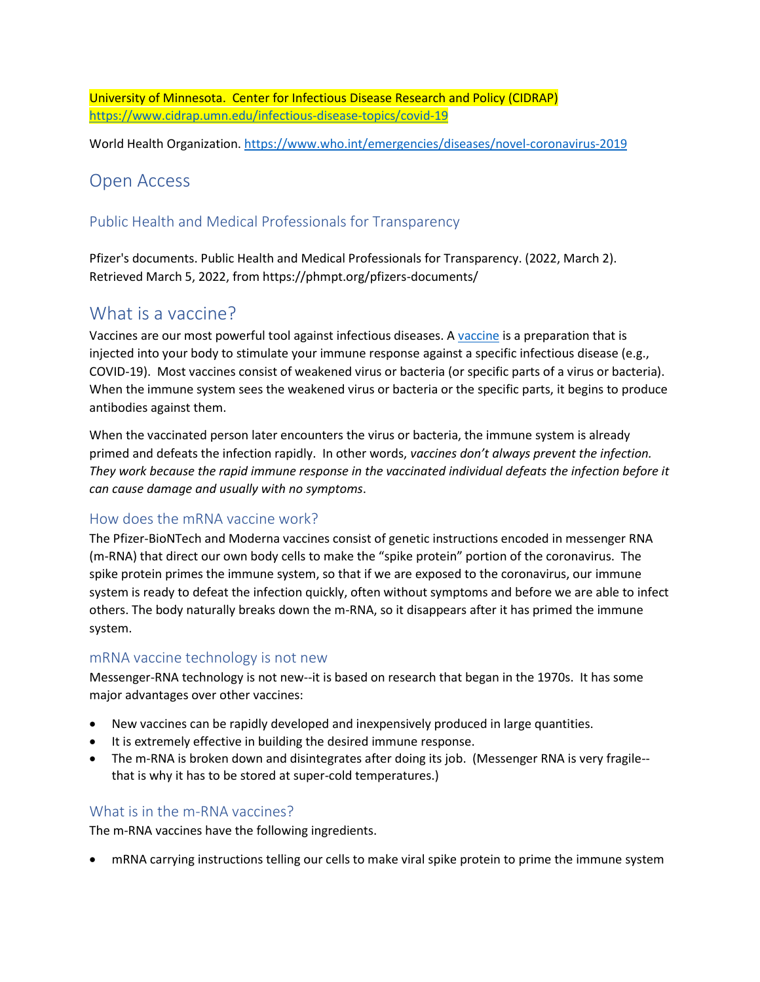University of Minnesota. Center for Infectious Disease Research and Policy (CIDRAP) <https://www.cidrap.umn.edu/infectious-disease-topics/covid-19>

World Health Organization.<https://www.who.int/emergencies/diseases/novel-coronavirus-2019>

## <span id="page-2-0"></span>Open Access

## <span id="page-2-1"></span>Public Health and Medical Professionals for Transparency

Pfizer's documents. Public Health and Medical Professionals for Transparency. (2022, March 2). Retrieved March 5, 2022, from https://phmpt.org/pfizers-documents/

## <span id="page-2-2"></span>What is a vaccine?

Vaccines are our most powerful tool against infectious diseases. A [vaccine](https://www.historyofvaccines.org/content/how-vaccines-work) is a preparation that is injected into your body to stimulate your immune response against a specific infectious disease (e.g., COVID-19). Most vaccines consist of weakened virus or bacteria (or specific parts of a virus or bacteria). When the immune system sees the weakened virus or bacteria or the specific parts, it begins to produce antibodies against them.

When the vaccinated person later encounters the virus or bacteria, the immune system is already primed and defeats the infection rapidly. In other words, *vaccines don't always prevent the infection. They work because the rapid immune response in the vaccinated individual defeats the infection before it can cause damage and usually with no symptoms*.

## <span id="page-2-3"></span>How does the mRNA vaccine work?

The Pfizer-BioNTech and Moderna vaccines consist of genetic instructions encoded in messenger RNA (m-RNA) that direct our own body cells to make the "spike protein" portion of the coronavirus. The spike protein primes the immune system, so that if we are exposed to the coronavirus, our immune system is ready to defeat the infection quickly, often without symptoms and before we are able to infect others. The body naturally breaks down the m-RNA, so it disappears after it has primed the immune system.

## <span id="page-2-4"></span>mRNA vaccine technology is not new

Messenger-RNA technology is not new--it is based on research that began in the 1970s. It has some major advantages over other vaccines:

- New vaccines can be rapidly developed and inexpensively produced in large quantities.
- It is extremely effective in building the desired immune response.
- The m-RNA is broken down and disintegrates after doing its job. (Messenger RNA is very fragile- that is why it has to be stored at super-cold temperatures.)

## <span id="page-2-5"></span>What is in the m-RNA vaccines?

The m-RNA vaccines have the following ingredients.

• mRNA carrying instructions telling our cells to make viral spike protein to prime the immune system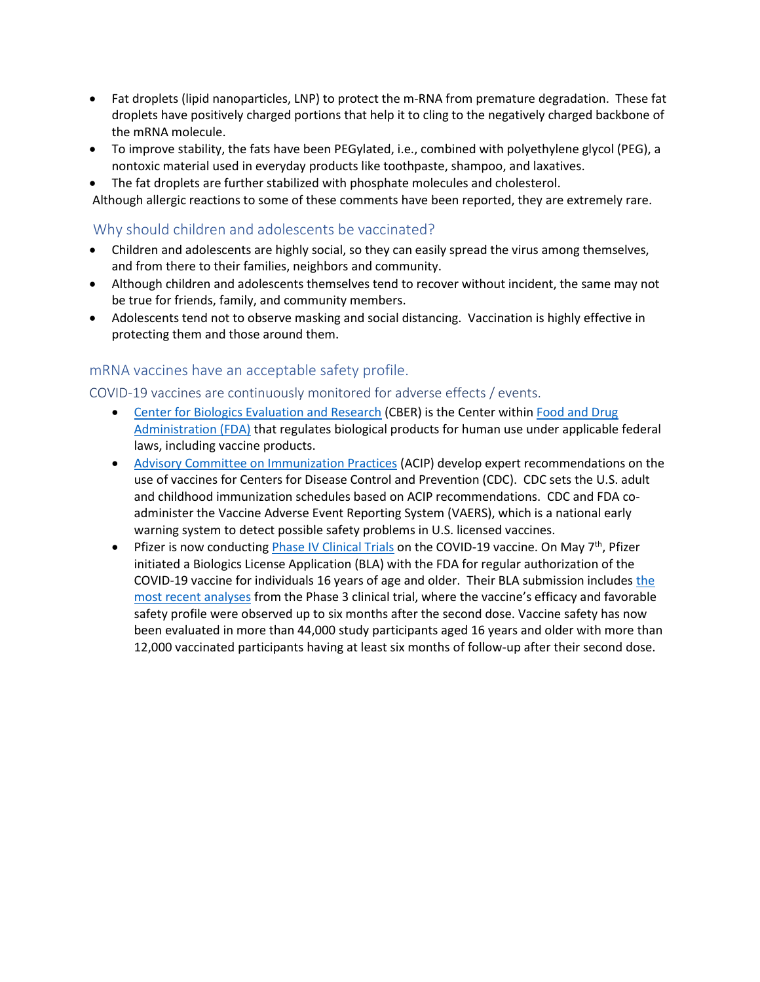- Fat droplets (lipid nanoparticles, LNP) to protect the m-RNA from premature degradation. These fat droplets have positively charged portions that help it to cling to the negatively charged backbone of the mRNA molecule.
- To improve stability, the fats have been PEGylated, i.e., combined with polyethylene glycol (PEG), a nontoxic material used in everyday products like toothpaste, shampoo, and laxatives.
- The fat droplets are further stabilized with phosphate molecules and cholesterol.

Although allergic reactions to some of these comments have been reported, they are extremely rare.

## <span id="page-3-0"></span>Why should children and adolescents be vaccinated?

- Children and adolescents are highly social, so they can easily spread the virus among themselves, and from there to their families, neighbors and community.
- Although children and adolescents themselves tend to recover without incident, the same may not be true for friends, family, and community members.
- Adolescents tend not to observe masking and social distancing. Vaccination is highly effective in protecting them and those around them.

## <span id="page-3-1"></span>mRNA vaccines have an acceptable safety profile.

<span id="page-3-2"></span>COVID-19 vaccines are continuously monitored for adverse effects / events.

- [Center for Biologics Evaluation and Research](https://www.fda.gov/about-fda/fda-organization/center-biologics-evaluation-and-research-cber) (CBER) is the Center within Food and Drug [Administration \(FDA\)](https://www.fda.gov/emergency-preparedness-and-response/coronavirus-disease-2019-covid-19/covid-19-vaccines) that regulates biological products for human use under applicable federal laws, including vaccine products.
- [Advisory Committee on Immunization Practices](https://www.cdc.gov/vaccines/acip/index.html) (ACIP) develop expert recommendations on the use of vaccines for Centers for Disease Control and Prevention (CDC). CDC sets the U.S. adult and childhood immunization schedules based on ACIP recommendations. CDC and FDA coadminister the Vaccine Adverse Event Reporting System (VAERS), which is a national early warning system to detect possible safety problems in U.S. licensed vaccines.
- Pfizer is now conducting [Phase IV Clinical Trials](https://www.pfizer.com/science/clinical-trials/guide-to-clinical-trials/phases) on the COVID-19 vaccine. On May  $7<sup>th</sup>$ , Pfizer initiated a Biologics License Application (BLA) with the FDA for regular authorization of the COVID-19 vaccine for individuals 16 years of age and older. Their BLA submission includes [the](https://cts.businesswire.com/ct/CT?id=smartlink&url=https%3A%2F%2Fwww.pfizer.com%2Fnews%2Fpress-release%2Fpress-release-detail%2Fpfizer-and-biontech-confirm-high-efficacy-and-no-serious&esheet=52425240&newsitemid=20210507005259&lan=en-US&anchor=the+most+recent+analyses&index=4&md5=ff897e26f2aeb994c69609cc9ebd9bb9)  [most recent analyses](https://cts.businesswire.com/ct/CT?id=smartlink&url=https%3A%2F%2Fwww.pfizer.com%2Fnews%2Fpress-release%2Fpress-release-detail%2Fpfizer-and-biontech-confirm-high-efficacy-and-no-serious&esheet=52425240&newsitemid=20210507005259&lan=en-US&anchor=the+most+recent+analyses&index=4&md5=ff897e26f2aeb994c69609cc9ebd9bb9) from the Phase 3 clinical trial, where the vaccine's efficacy and favorable safety profile were observed up to six months after the second dose. Vaccine safety has now been evaluated in more than 44,000 study participants aged 16 years and older with more than 12,000 vaccinated participants having at least six months of follow-up after their second dose.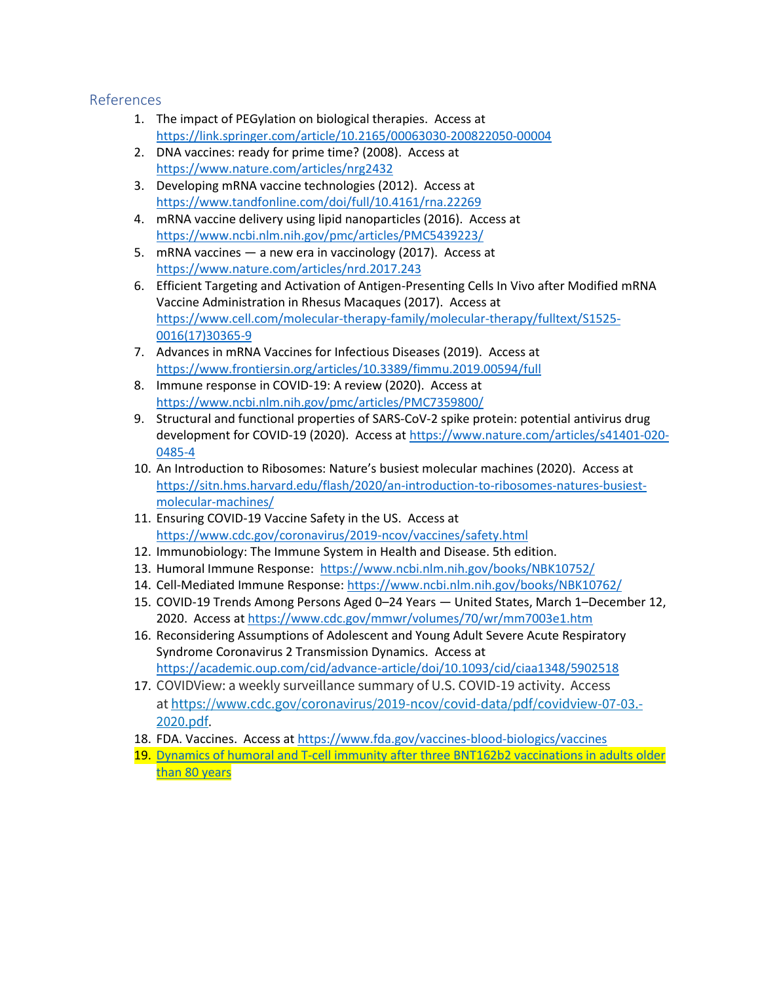#### <span id="page-4-0"></span>References

- 1. The impact of PEGylation on biological therapies. Access at <https://link.springer.com/article/10.2165/00063030-200822050-00004>
- 2. DNA vaccines: ready for prime time? (2008). Access at <https://www.nature.com/articles/nrg2432>
- 3. Developing mRNA vaccine technologies (2012). Access at <https://www.tandfonline.com/doi/full/10.4161/rna.22269>
- 4. mRNA vaccine delivery using lipid nanoparticles (2016). Access at <https://www.ncbi.nlm.nih.gov/pmc/articles/PMC5439223/>
- 5. mRNA vaccines a new era in vaccinology (2017). Access at <https://www.nature.com/articles/nrd.2017.243>
- 6. Efficient Targeting and Activation of Antigen-Presenting Cells In Vivo after Modified mRNA Vaccine Administration in Rhesus Macaques (2017). Access at [https://www.cell.com/molecular-therapy-family/molecular-therapy/fulltext/S1525-](https://www.cell.com/molecular-therapy-family/molecular-therapy/fulltext/S1525-0016(17)30365-9) [0016\(17\)30365-9](https://www.cell.com/molecular-therapy-family/molecular-therapy/fulltext/S1525-0016(17)30365-9)
- 7. Advances in mRNA Vaccines for Infectious Diseases (2019). Access at <https://www.frontiersin.org/articles/10.3389/fimmu.2019.00594/full>
- 8. Immune response in COVID-19: A review (2020). Access at <https://www.ncbi.nlm.nih.gov/pmc/articles/PMC7359800/>
- 9. Structural and functional properties of SARS-CoV-2 spike protein: potential antivirus drug development for COVID-19 (2020). Access at [https://www.nature.com/articles/s41401-020-](https://www.nature.com/articles/s41401-020-0485-4) [0485-4](https://www.nature.com/articles/s41401-020-0485-4)
- 10. An Introduction to Ribosomes: Nature's busiest molecular machines (2020). Access at [https://sitn.hms.harvard.edu/flash/2020/an-introduction-to-ribosomes-natures-busiest](https://sitn.hms.harvard.edu/flash/2020/an-introduction-to-ribosomes-natures-busiest-molecular-machines/)[molecular-machines/](https://sitn.hms.harvard.edu/flash/2020/an-introduction-to-ribosomes-natures-busiest-molecular-machines/)
- 11. Ensuring COVID-19 Vaccine Safety in the US. Access at <https://www.cdc.gov/coronavirus/2019-ncov/vaccines/safety.html>
- 12. Immunobiology: The Immune System in Health and Disease. 5th edition.
- 13. Humoral Immune Response: <https://www.ncbi.nlm.nih.gov/books/NBK10752/>
- 14. Cell-Mediated Immune Response:<https://www.ncbi.nlm.nih.gov/books/NBK10762/>
- 15. COVID-19 Trends Among Persons Aged 0–24 Years United States, March 1–December 12, 2020. Access a[t https://www.cdc.gov/mmwr/volumes/70/wr/mm7003e1.htm](https://www.cdc.gov/mmwr/volumes/70/wr/mm7003e1.htm)
- 16. Reconsidering Assumptions of Adolescent and Young Adult Severe Acute Respiratory Syndrome Coronavirus 2 Transmission Dynamics. Access at <https://academic.oup.com/cid/advance-article/doi/10.1093/cid/ciaa1348/5902518>
- 17. COVIDView: a weekly surveillance summary of U.S. COVID-19 activity. Access at [https://www.cdc.gov/coronavirus/2019-ncov/covid-data/pdf/covidview-07-03.-](https://www.cdc.gov/coronavirus/2019-ncov/covid-data/pdf/covidview-07-03.-2020.pdf) [2020.pdf.](https://www.cdc.gov/coronavirus/2019-ncov/covid-data/pdf/covidview-07-03.-2020.pdf)
- 18. FDA. Vaccines. Access at<https://www.fda.gov/vaccines-blood-biologics/vaccines>
- 19. [Dynamics of humoral and T-cell immunity after three BNT162b2 vaccinations in adults older](https://www.thelancet.com/journals/laninf/article/PIIS1473-3099(22)00219-5/fulltext)  [than 80 years](https://www.thelancet.com/journals/laninf/article/PIIS1473-3099(22)00219-5/fulltext)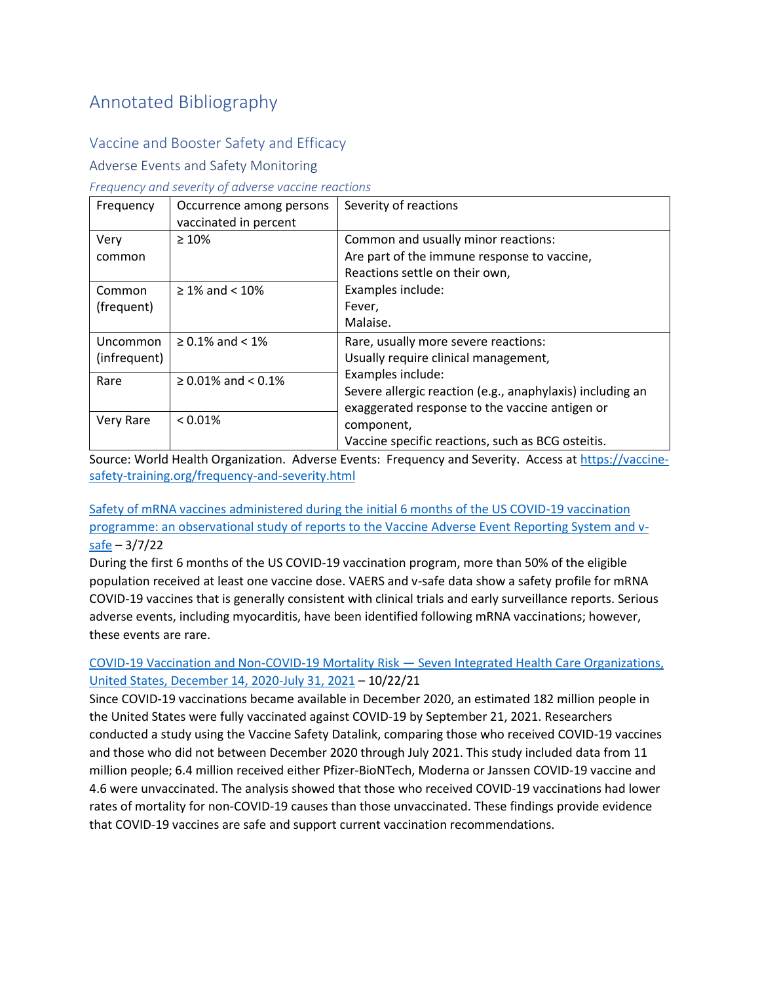## <span id="page-5-0"></span>Annotated Bibliography

## <span id="page-5-1"></span>Vaccine and Booster Safety and Efficacy

## <span id="page-5-2"></span>Adverse Events and Safety Monitoring

#### *Frequency and severity of adverse vaccine reactions*

| Frequency                | Occurrence among persons<br>vaccinated in percent | Severity of reactions                                                                                                                                                                               |
|--------------------------|---------------------------------------------------|-----------------------------------------------------------------------------------------------------------------------------------------------------------------------------------------------------|
| Very<br>common           | $\geq 10\%$                                       | Common and usually minor reactions:<br>Are part of the immune response to vaccine,<br>Reactions settle on their own,                                                                                |
| Common<br>(frequent)     | $\geq 1\%$ and < 10%                              | Examples include:<br>Fever,<br>Malaise.                                                                                                                                                             |
| Uncommon<br>(infrequent) | $\geq 0.1\%$ and < 1%                             | Rare, usually more severe reactions:<br>Usually require clinical management,                                                                                                                        |
| Rare                     | $\geq$ 0.01% and < 0.1%                           | Examples include:<br>Severe allergic reaction (e.g., anaphylaxis) including an<br>exaggerated response to the vaccine antigen or<br>component,<br>Vaccine specific reactions, such as BCG osteitis. |
| Very Rare                | $< 0.01\%$                                        |                                                                                                                                                                                                     |

Source: World Health Organization. Adverse Events: Frequency and Severity. Access a[t https://vaccine](https://vaccine-safety-training.org/frequency-and-severity.html)[safety-training.org/frequency-and-severity.html](https://vaccine-safety-training.org/frequency-and-severity.html)

## [Safety of mRNA vaccines administered during the initial 6 months of the US COVID-19 vaccination](https://www.thelancet.com/journals/laninf/article/PIIS1473-3099(22)00054-8/fulltext)  [programme: an observational study of reports to the Vaccine Adverse Event Reporting System and v](https://www.thelancet.com/journals/laninf/article/PIIS1473-3099(22)00054-8/fulltext) $s$ afe – 3/7/22

During the first 6 months of the US COVID-19 vaccination program, more than 50% of the eligible population received at least one vaccine dose. VAERS and v-safe data show a safety profile for mRNA COVID-19 vaccines that is generally consistent with clinical trials and early surveillance reports. Serious adverse events, including myocarditis, have been identified following mRNA vaccinations; however, these events are rare.

## [COVID-19 Vaccination and Non-COVID-19 Mortality Risk](https://www.cdc.gov/mmwr/volumes/70/wr/mm7043e2.htm) — Seven Integrated Health Care Organizations, [United States, December 14, 2020-July 31, 2021](https://www.cdc.gov/mmwr/volumes/70/wr/mm7043e2.htm) – 10/22/21

Since COVID-19 vaccinations became available in December 2020, an estimated 182 million people in the United States were fully vaccinated against COVID-19 by September 21, 2021. Researchers conducted a study using the Vaccine Safety Datalink, comparing those who received COVID-19 vaccines and those who did not between December 2020 through July 2021. This study included data from 11 million people; 6.4 million received either Pfizer-BioNTech, Moderna or Janssen COVID-19 vaccine and 4.6 were unvaccinated. The analysis showed that those who received COVID-19 vaccinations had lower rates of mortality for non-COVID-19 causes than those unvaccinated. These findings provide evidence that COVID-19 vaccines are safe and support current vaccination recommendations.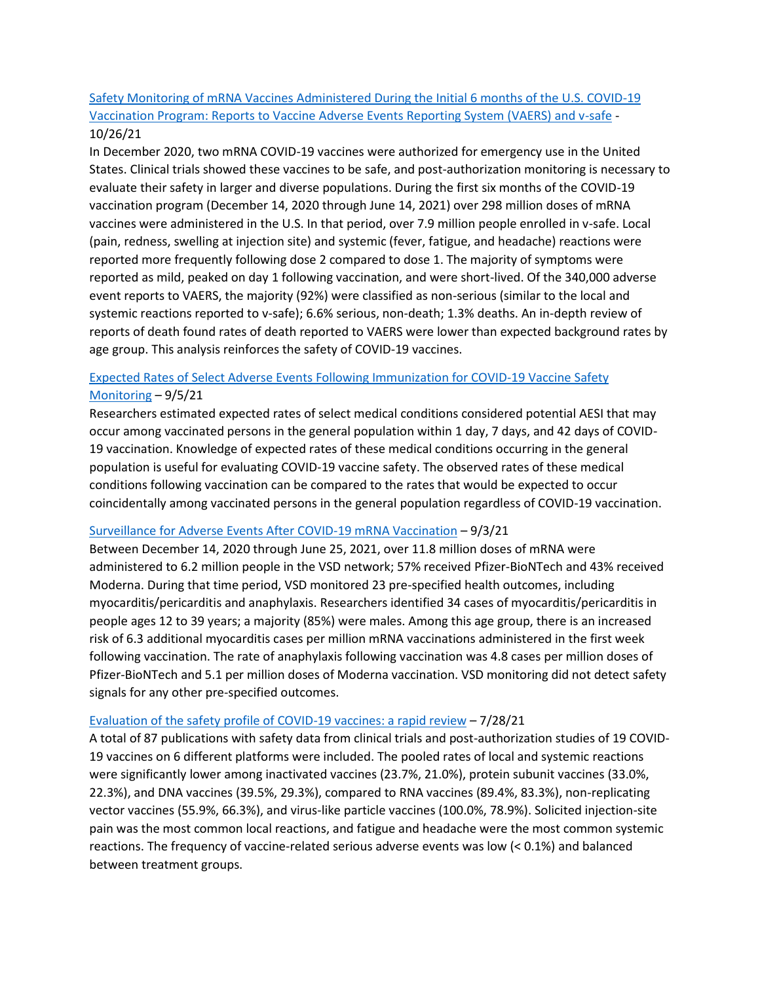## [Safety Monitoring of mRNA Vaccines Administered During the Initial 6 months of the U.S. COVID-19](https://www.medrxiv.org/content/10.1101/2021.10.26.21265261v2)  [Vaccination Program: Reports to Vaccine Adverse Events Reporting System \(VAERS\) and v-safe](https://www.medrxiv.org/content/10.1101/2021.10.26.21265261v2) - 10/26/21

In December 2020, two mRNA COVID-19 vaccines were authorized for emergency use in the United States. Clinical trials showed these vaccines to be safe, and post-authorization monitoring is necessary to evaluate their safety in larger and diverse populations. During the first six months of the COVID-19 vaccination program (December 14, 2020 through June 14, 2021) over 298 million doses of mRNA vaccines were administered in the U.S. In that period, over 7.9 million people enrolled in v-safe. Local (pain, redness, swelling at injection site) and systemic (fever, fatigue, and headache) reactions were reported more frequently following dose 2 compared to dose 1. The majority of symptoms were reported as mild, peaked on day 1 following vaccination, and were short-lived. Of the 340,000 adverse event reports to VAERS, the majority (92%) were classified as non-serious (similar to the local and systemic reactions reported to v-safe); 6.6% serious, non-death; 1.3% deaths. An in-depth review of reports of death found rates of death reported to VAERS were lower than expected background rates by age group. This analysis reinforces the safety of COVID-19 vaccines.

## [Expected Rates of Select Adverse Events Following Immunization for COVID-19 Vaccine Safety](https://www.medrxiv.org/content/10.1101/2021.08.31.21262919v1)  [Monitoring](https://www.medrxiv.org/content/10.1101/2021.08.31.21262919v1) – 9/5/21

Researchers estimated expected rates of select medical conditions considered potential AESI that may occur among vaccinated persons in the general population within 1 day, 7 days, and 42 days of COVID-19 vaccination. Knowledge of expected rates of these medical conditions occurring in the general population is useful for evaluating COVID-19 vaccine safety. The observed rates of these medical conditions following vaccination can be compared to the rates that would be expected to occur coincidentally among vaccinated persons in the general population regardless of COVID-19 vaccination.

## [Surveillance for Adverse Events After COVID-19 mRNA Vaccination](https://jamanetwork.com/journals/jama/fullarticle/2784015?guestAccessKey=80d0f334-1f66-421b-b740-a5bba31ac7a6&utm_source=For_The_Media&utm_medium=referral&utm_campaign=ftm_links&utm_content=tfl&utm_term=090321) – 9/3/21

Between December 14, 2020 through June 25, 2021, over 11.8 million doses of mRNA were administered to 6.2 million people in the VSD network; 57% received Pfizer-BioNTech and 43% received Moderna. During that time period, VSD monitored 23 pre-specified health outcomes, including myocarditis/pericarditis and anaphylaxis. Researchers identified 34 cases of myocarditis/pericarditis in people ages 12 to 39 years; a majority (85%) were males. Among this age group, there is an increased risk of 6.3 additional myocarditis cases per million mRNA vaccinations administered in the first week following vaccination. The rate of anaphylaxis following vaccination was 4.8 cases per million doses of Pfizer-BioNTech and 5.1 per million doses of Moderna vaccination. VSD monitoring did not detect safety signals for any other pre-specified outcomes.

#### [Evaluation of the safety profile of COVID-19 vaccines: a rapid review](https://bmcmedicine.biomedcentral.com/articles/10.1186/s12916-021-02059-5) – 7/28/21

A total of 87 publications with safety data from clinical trials and post-authorization studies of 19 COVID-19 vaccines on 6 different platforms were included. The pooled rates of local and systemic reactions were significantly lower among inactivated vaccines (23.7%, 21.0%), protein subunit vaccines (33.0%, 22.3%), and DNA vaccines (39.5%, 29.3%), compared to RNA vaccines (89.4%, 83.3%), non-replicating vector vaccines (55.9%, 66.3%), and virus-like particle vaccines (100.0%, 78.9%). Solicited injection-site pain was the most common local reactions, and fatigue and headache were the most common systemic reactions. The frequency of vaccine-related serious adverse events was low (< 0.1%) and balanced between treatment groups.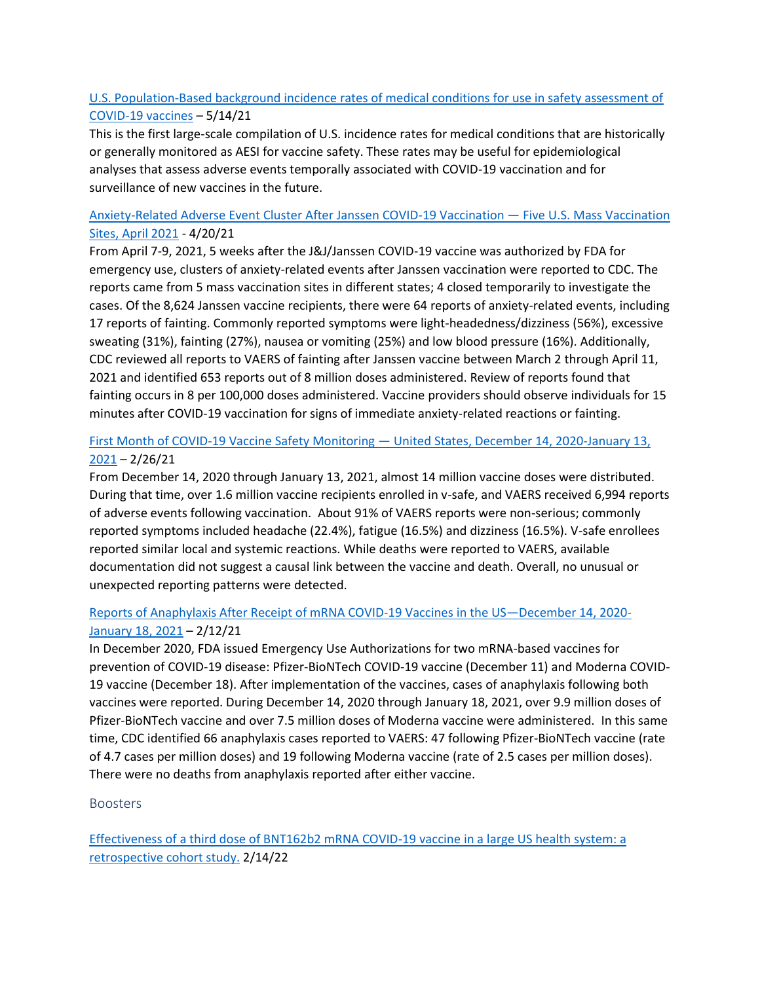## [U.S. Population-Based background incidence rates of medical conditions for use in safety assessment of](https://www.sciencedirect.com/science/article/pii/S0264410X21005788?via%3Dihub)  [COVID-19 vaccines](https://www.sciencedirect.com/science/article/pii/S0264410X21005788?via%3Dihub) – 5/14/21

This is the first large-scale compilation of U.S. incidence rates for medical conditions that are historically or generally monitored as AESI for vaccine safety. These rates may be useful for epidemiological analyses that assess adverse events temporally associated with COVID-19 vaccination and for surveillance of new vaccines in the future.

## [Anxiety-Related Adverse Event Cluster After Janssen COVID-19 Vaccination](https://www.cdc.gov/mmwr/volumes/70/wr/mm7018e3.htm) — Five U.S. Mass Vaccination [Sites, April 2021](https://www.cdc.gov/mmwr/volumes/70/wr/mm7018e3.htm) - 4/20/21

From April 7-9, 2021, 5 weeks after the J&J/Janssen COVID-19 vaccine was authorized by FDA for emergency use, clusters of anxiety-related events after Janssen vaccination were reported to CDC. The reports came from 5 mass vaccination sites in different states; 4 closed temporarily to investigate the cases. Of the 8,624 Janssen vaccine recipients, there were 64 reports of anxiety-related events, including 17 reports of fainting. Commonly reported symptoms were light-headedness/dizziness (56%), excessive sweating (31%), fainting (27%), nausea or vomiting (25%) and low blood pressure (16%). Additionally, CDC reviewed all reports to VAERS of fainting after Janssen vaccine between March 2 through April 11, 2021 and identified 653 reports out of 8 million doses administered. Review of reports found that fainting occurs in 8 per 100,000 doses administered. Vaccine providers should observe individuals for 15 minutes after COVID-19 vaccination for signs of immediate anxiety-related reactions or fainting.

## [First Month of COVID-19 Vaccine Safety Monitoring](https://www.cdc.gov/mmwr/volumes/70/wr/mm7008e3.htm) — United States, December 14, 2020-January 13,  $2021 - 2/26/21$  $2021 - 2/26/21$

From December 14, 2020 through January 13, 2021, almost 14 million vaccine doses were distributed. During that time, over 1.6 million vaccine recipients enrolled in v-safe, and VAERS received 6,994 reports of adverse events following vaccination. About 91% of VAERS reports were non-serious; commonly reported symptoms included headache (22.4%), fatigue (16.5%) and dizziness (16.5%). V-safe enrollees reported similar local and systemic reactions. While deaths were reported to VAERS, available documentation did not suggest a causal link between the vaccine and death. Overall, no unusual or unexpected reporting patterns were detected.

## [Reports of Anaphylaxis After Receipt of mRNA COVID-19 Vaccines in the US](https://jamanetwork.com/journals/jama/fullarticle/2776557)—December 14, 2020- [January 18, 2021](https://jamanetwork.com/journals/jama/fullarticle/2776557) - 2/12/21

In December 2020, FDA issued Emergency Use Authorizations for two mRNA-based vaccines for prevention of COVID-19 disease: Pfizer-BioNTech COVID-19 vaccine (December 11) and Moderna COVID-19 vaccine (December 18). After implementation of the vaccines, cases of anaphylaxis following both vaccines were reported. During December 14, 2020 through January 18, 2021, over 9.9 million doses of Pfizer-BioNTech vaccine and over 7.5 million doses of Moderna vaccine were administered. In this same time, CDC identified 66 anaphylaxis cases reported to VAERS: 47 following Pfizer-BioNTech vaccine (rate of 4.7 cases per million doses) and 19 following Moderna vaccine (rate of 2.5 cases per million doses). There were no deaths from anaphylaxis reported after either vaccine.

## <span id="page-7-0"></span>Boosters

[Effectiveness of a third dose of BNT162b2 mRNA COVID-19 vaccine in a large US health system: a](https://www.thelancet.com/journals/lanam/article/PIIS2667-193X(22)00015-1/fulltext)  [retrospective cohort study.](https://www.thelancet.com/journals/lanam/article/PIIS2667-193X(22)00015-1/fulltext) 2/14/22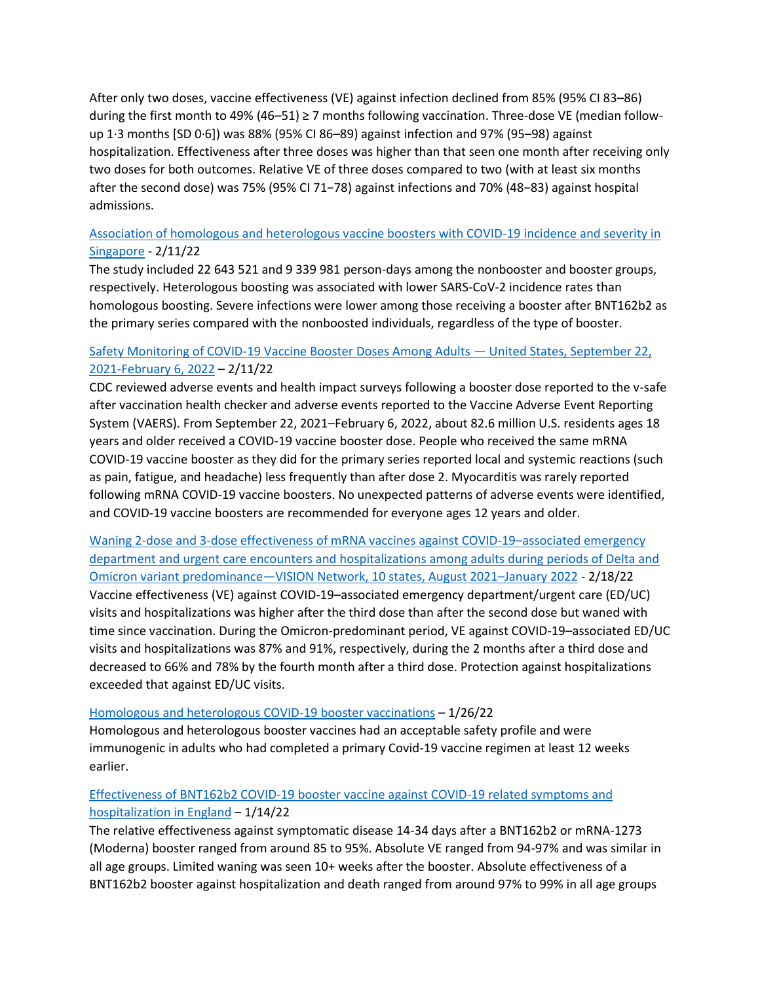After only two doses, vaccine effectiveness (VE) against infection declined from 85% (95% CI 83–86) during the first month to 49% (46–51) ≥ 7 months following vaccination. Three-dose VE (median followup 1·3 months [SD 0·6]) was 88% (95% CI 86–89) against infection and 97% (95–98) against hospitalization. Effectiveness after three doses was higher than that seen one month after receiving only two doses for both outcomes. Relative VE of three doses compared to two (with at least six months after the second dose) was 75% (95% CI 71−78) against infections and 70% (48−83) against hospital admissions.

## [Association of homologous and heterologous vaccine boosters with COVID-19 incidence and severity in](https://jamanetwork.com/journals/jama/fullarticle/2789151)  [Singapore](https://jamanetwork.com/journals/jama/fullarticle/2789151) - 2/11/22

The study included 22 643 521 and 9 339 981 person-days among the nonbooster and booster groups, respectively. Heterologous boosting was associated with lower SARS-CoV-2 incidence rates than homologous boosting. Severe infections were lower among those receiving a booster after BNT162b2 as the primary series compared with the nonboosted individuals, regardless of the type of booster.

## [Safety Monitoring of COVID-19 Vaccine Booster Doses Among Adults](https://www.cdc.gov/mmwr/volumes/71/wr/mm7107e1.htm) — United States, September 22, [2021-February 6, 2022](https://www.cdc.gov/mmwr/volumes/71/wr/mm7107e1.htm) – 2/11/22

CDC reviewed adverse events and health impact surveys following a booster dose reported to the v-safe after vaccination health checker and adverse events reported to the Vaccine Adverse Event Reporting System (VAERS). From September 22, 2021–February 6, 2022, about 82.6 million U.S. residents ages 18 years and older received a COVID-19 vaccine booster dose. People who received the same mRNA COVID-19 vaccine booster as they did for the primary series reported local and systemic reactions (such as pain, fatigue, and headache) less frequently than after dose 2. Myocarditis was rarely reported following mRNA COVID-19 vaccine boosters. No unexpected patterns of adverse events were identified, and COVID-19 vaccine boosters are recommended for everyone ages 12 years and older.

[Waning 2-dose and 3-dose effectiveness of mRNA vaccines against COVID-19](http://dx.doi.org/10.15585/mmwr.mm7107e2)–associated emergency [department and urgent care encounters and hospitalizations among adults during periods of Delta and](http://dx.doi.org/10.15585/mmwr.mm7107e2)  Omicron variant predominance—[VISION Network, 10 states, August 2021](http://dx.doi.org/10.15585/mmwr.mm7107e2)–January 2022 - 2/18/22 Vaccine effectiveness (VE) against COVID-19–associated emergency department/urgent care (ED/UC) visits and hospitalizations was higher after the third dose than after the second dose but waned with time since vaccination. During the Omicron-predominant period, VE against COVID-19–associated ED/UC visits and hospitalizations was 87% and 91%, respectively, during the 2 months after a third dose and decreased to 66% and 78% by the fourth month after a third dose. Protection against hospitalizations exceeded that against ED/UC visits.

## [Homologous and heterologous COVID-19 booster vaccinations](https://www.nejm.org/doi/full/10.1056/NEJMoa2116414) – 1/26/22

Homologous and heterologous booster vaccines had an acceptable safety profile and were immunogenic in adults who had completed a primary Covid-19 vaccine regimen at least 12 weeks earlier.

## [Effectiveness of BNT162b2 COVID-19 booster vaccine against COVID-19 related symptoms and](https://doi.org/10.1038/d41591-022-00013-3)  [hospitalization in England](https://doi.org/10.1038/d41591-022-00013-3) – 1/14/22

The relative effectiveness against symptomatic disease 14-34 days after a BNT162b2 or mRNA-1273 (Moderna) booster ranged from around 85 to 95%. Absolute VE ranged from 94-97% and was similar in all age groups. Limited waning was seen 10+ weeks after the booster. Absolute effectiveness of a BNT162b2 booster against hospitalization and death ranged from around 97% to 99% in all age groups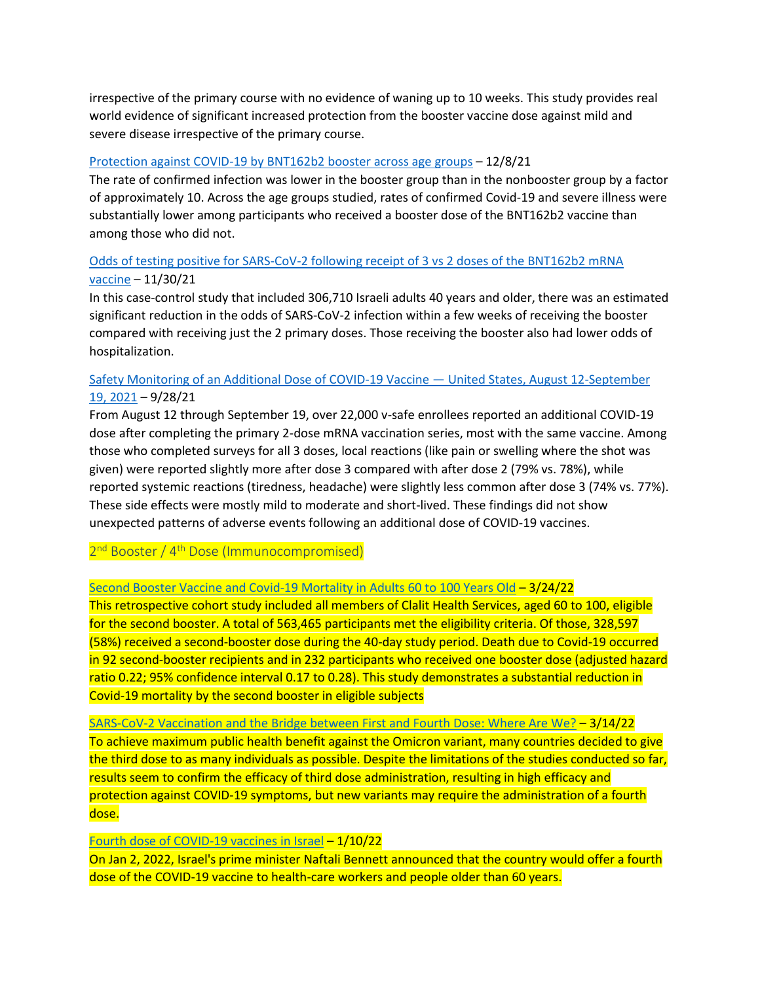irrespective of the primary course with no evidence of waning up to 10 weeks. This study provides real world evidence of significant increased protection from the booster vaccine dose against mild and severe disease irrespective of the primary course.

#### [Protection against COVID-19 by BNT162b2 booster across age groups](https://www.nejm.org/doi/full/10.1056/NEJMoa2115926) – 12/8/21

The rate of confirmed infection was lower in the booster group than in the nonbooster group by a factor of approximately 10. Across the age groups studied, rates of confirmed Covid-19 and severe illness were substantially lower among participants who received a booster dose of the BNT162b2 vaccine than among those who did not.

## [Odds of testing positive for SARS-CoV-2 following receipt of 3 vs 2 doses of the BNT162b2 mRNA](https://jamanetwork.com/journals/jamainternalmedicine/fullarticle/2786890)  [vaccine](https://jamanetwork.com/journals/jamainternalmedicine/fullarticle/2786890) – 11/30/21

In this case-control study that included 306,710 Israeli adults 40 years and older, there was an estimated significant reduction in the odds of SARS-CoV-2 infection within a few weeks of receiving the booster compared with receiving just the 2 primary doses. Those receiving the booster also had lower odds of hospitalization.

## [Safety Monitoring of an Additional Dose of COVID-19 Vaccine](https://www.cdc.gov/mmwr/volumes/70/wr/mm7039e4.htm) — United States, August 12-September [19, 2021](https://www.cdc.gov/mmwr/volumes/70/wr/mm7039e4.htm) – 9/28/21

From August 12 through September 19, over 22,000 v-safe enrollees reported an additional COVID-19 dose after completing the primary 2-dose mRNA vaccination series, most with the same vaccine. Among those who completed surveys for all 3 doses, local reactions (like pain or swelling where the shot was given) were reported slightly more after dose 3 compared with after dose 2 (79% vs. 78%), while reported systemic reactions (tiredness, headache) were slightly less common after dose 3 (74% vs. 77%). These side effects were mostly mild to moderate and short-lived. These findings did not show unexpected patterns of adverse events following an additional dose of COVID-19 vaccines.

## <span id="page-9-0"></span>2<sup>nd</sup> Booster / 4<sup>th</sup> Dose (Immunocompromised)

#### [Second Booster Vaccine and Covid-19 Mortality in Adults 60 to 100 Years Old](https://assets.researchsquare.com/files/rs-1478439/v1/24514bba-2c9d-4add-9d8f-321f610ed199.pdf?c=1648141784) – 3/24/22

This retrospective cohort study included all members of Clalit Health Services, aged 60 to 100, eligible for the second booster. A total of 563,465 participants met the eligibility criteria. Of those, 328,597 (58%) received a second-booster dose during the 40-day study period. Death due to Covid-19 occurred in 92 second-booster recipients and in 232 participants who received one booster dose (adjusted hazard ratio 0.22; 95% confidence interval 0.17 to 0.28). This study demonstrates a substantial reduction in Covid-19 mortality by the second booster in eligible subjects

[SARS-CoV-2 Vaccination and the Bridge between First and Fourth Dose: Where Are We?](https://www.mdpi.com/2076-393X/10/3/444) – 3/14/22 To achieve maximum public health benefit against the Omicron variant, many countries decided to give the third dose to as many individuals as possible. Despite the limitations of the studies conducted so far, results seem to confirm the efficacy of third dose administration, resulting in high efficacy and protection against COVID-19 symptoms, but new variants may require the administration of a fourth dose.

#### [Fourth dose of COVID-19 vaccines in Israel](https://linkinghub.elsevier.com/retrieve/pii/S2213260022000108) – 1/10/22

On Jan 2, 2022, Israel's prime minister Naftali Bennett announced that the country would offer a fourth dose of the COVID-19 vaccine to health-care workers and people older than 60 years.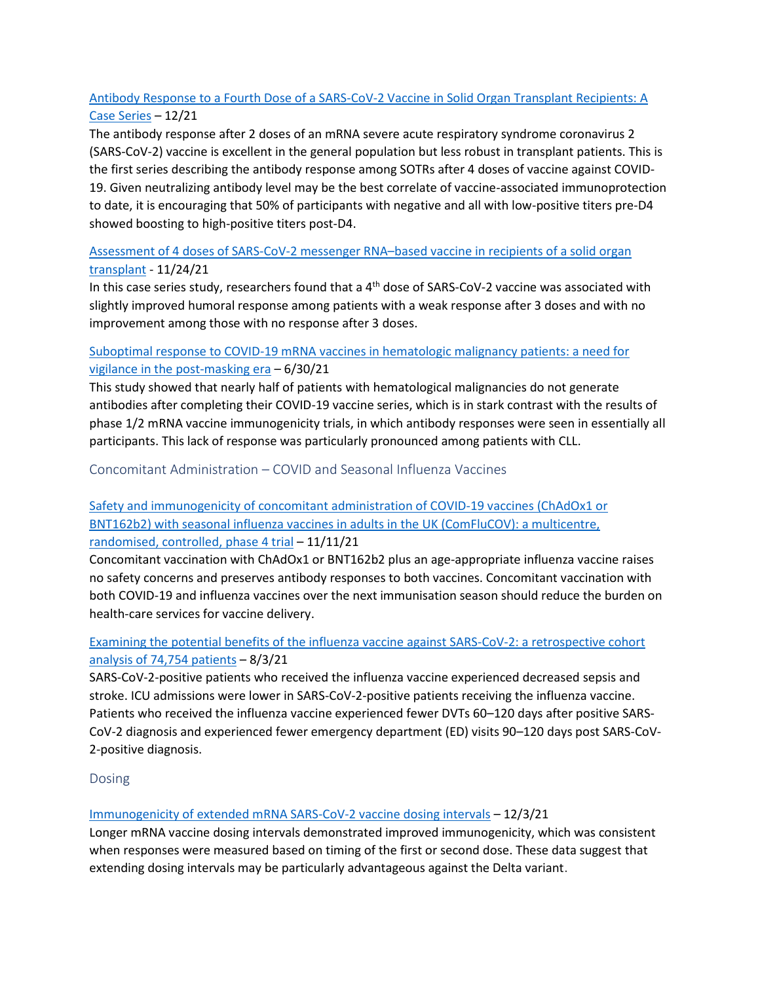## [Antibody Response to a Fourth Dose of a SARS-CoV-2 Vaccine in Solid Organ Transplant Recipients: A](https://journals.lww.com/transplantjournal/Fulltext/2021/12000/Antibody_Response_to_a_Fourth_Dose_of_a_SARS_CoV_2.11.aspx)  [Case Series](https://journals.lww.com/transplantjournal/Fulltext/2021/12000/Antibody_Response_to_a_Fourth_Dose_of_a_SARS_CoV_2.11.aspx) – 12/21

The antibody response after 2 doses of an mRNA severe acute respiratory syndrome coronavirus 2 (SARS-CoV-2) vaccine is excellent in the general population but less robust in transplant patients. This is the first series describing the antibody response among SOTRs after 4 doses of vaccine against COVID-19. Given neutralizing antibody level may be the best correlate of vaccine-associated immunoprotection to date, it is encouraging that 50% of participants with negative and all with low-positive titers pre-D4 showed boosting to high-positive titers post-D4.

## [Assessment of 4 doses of SARS-CoV-2 messenger RNA](https://jamanetwork.com/journals/jamanetworkopen/fullarticle/2786552)–based vaccine in recipients of a solid organ [transplant](https://jamanetwork.com/journals/jamanetworkopen/fullarticle/2786552) - 11/24/21

In this case series study, researchers found that a 4<sup>th</sup> dose of SARS-CoV-2 vaccine was associated with slightly improved humoral response among patients with a weak response after 3 doses and with no improvement among those with no response after 3 doses.

## [Suboptimal response to COVID-19 mRNA vaccines in hematologic malignancy patients: a need for](https://doi.org/10.1093/ofid/ofab353)  [vigilance in the post-masking era](https://doi.org/10.1093/ofid/ofab353) – 6/30/21

This study showed that nearly half of patients with hematological malignancies do not generate antibodies after completing their COVID-19 vaccine series, which is in stark contrast with the results of phase 1/2 mRNA vaccine immunogenicity trials, in which antibody responses were seen in essentially all participants. This lack of response was particularly pronounced among patients with CLL.

<span id="page-10-0"></span>Concomitant Administration – COVID and Seasonal Influenza Vaccines

## [Safety and immunogenicity of concomitant administration of COVID-19 vaccines \(ChAdOx1 or](https://doi.org/10.1016/S0140-6736(21)02329-1)  [BNT162b2\) with seasonal influenza vaccines in adults in the UK \(ComFluCOV\): a multicentre,](https://doi.org/10.1016/S0140-6736(21)02329-1)  [randomised, controlled, phase 4 trial](https://doi.org/10.1016/S0140-6736(21)02329-1) – 11/11/21

Concomitant vaccination with ChAdOx1 or BNT162b2 plus an age-appropriate influenza vaccine raises no safety concerns and preserves antibody responses to both vaccines. Concomitant vaccination with both COVID-19 and influenza vaccines over the next immunisation season should reduce the burden on health-care services for vaccine delivery.

## [Examining the potential benefits of the influenza vaccine against SARS-CoV-2: a retrospective cohort](https://doi.org/10.1371/journal.pone.0255541)  [analysis of 74,754 patients](https://doi.org/10.1371/journal.pone.0255541)  $-8/3/21$

SARS-CoV-2-positive patients who received the influenza vaccine experienced decreased sepsis and stroke. ICU admissions were lower in SARS-CoV-2-positive patients receiving the influenza vaccine. Patients who received the influenza vaccine experienced fewer DVTs 60–120 days after positive SARS-CoV-2 diagnosis and experienced fewer emergency department (ED) visits 90–120 days post SARS-CoV-2-positive diagnosis.

## <span id="page-10-1"></span>Dosing

## [Immunogenicity of extended mRNA SARS-CoV-2 vaccine dosing intervals](https://jamanetwork.com/journals/jama/fullarticle/2786992) – 12/3/21

Longer mRNA vaccine dosing intervals demonstrated improved immunogenicity, which was consistent when responses were measured based on timing of the first or second dose. These data suggest that extending dosing intervals may be particularly advantageous against the Delta variant.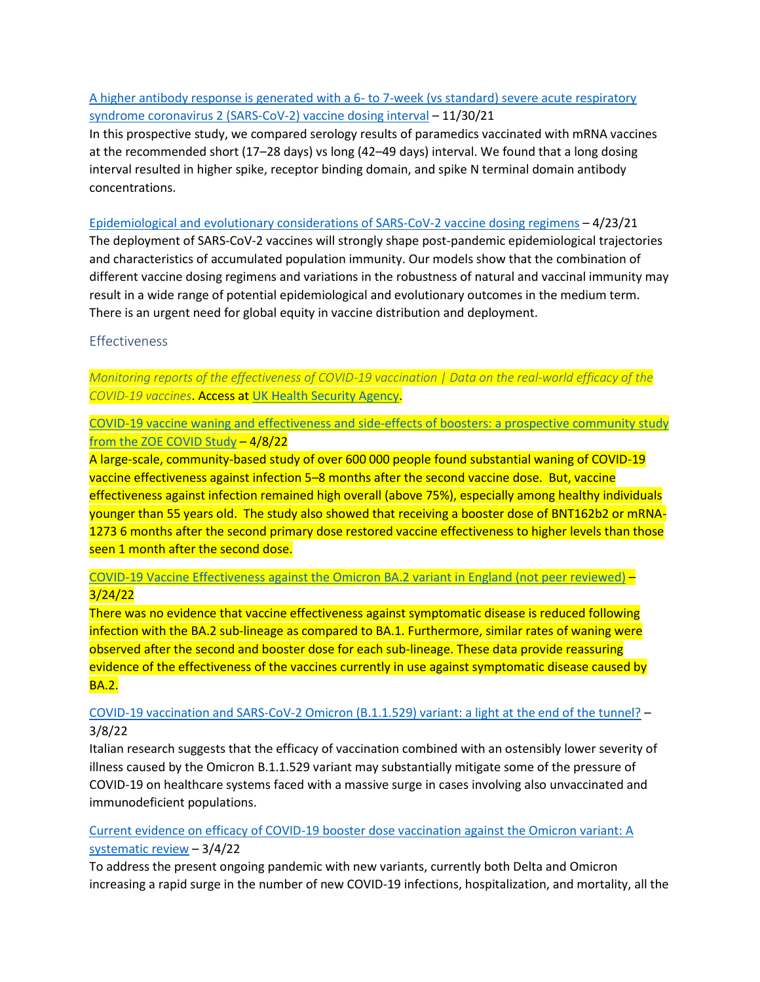## [A higher antibody response is generated with a 6-](https://doi.org/10.1093/cid/ciab938) to 7-week (vs standard) severe acute respiratory [syndrome coronavirus 2 \(SARS-CoV-2\) vaccine dosing interval](https://doi.org/10.1093/cid/ciab938) – 11/30/21

In this prospective study, we compared serology results of paramedics vaccinated with mRNA vaccines at the recommended short (17–28 days) vs long (42–49 days) interval. We found that a long dosing interval resulted in higher spike, receptor binding domain, and spike N terminal domain antibody concentrations.

#### [Epidemiological and evolutionary considerations of SARS-CoV-2 vaccine dosing regimens](https://doi.org/10.1126/science.abg8663) – 4/23/21

The deployment of SARS-CoV-2 vaccines will strongly shape post-pandemic epidemiological trajectories and characteristics of accumulated population immunity. Our models show that the combination of different vaccine dosing regimens and variations in the robustness of natural and vaccinal immunity may result in a wide range of potential epidemiological and evolutionary outcomes in the medium term. There is an urgent need for global equity in vaccine distribution and deployment.

## <span id="page-11-0"></span>Effectiveness

*Monitoring reports of the effectiveness of COVID-19 vaccination | Data on the real-world efficacy of the COVID-19 vaccines*. Access at [UK Health Security Agency.](https://www.gov.uk/government/organisations/uk-health-security-agency)

[COVID-19 vaccine waning and effectiveness and side-effects of boosters: a prospective community study](https://www.thelancet.com/journals/laninf/article/PIIS1473-3099(22)00146-3/fulltext)  [from the ZOE COVID Study](https://www.thelancet.com/journals/laninf/article/PIIS1473-3099(22)00146-3/fulltext) – 4/8/22

A large-scale, community-based study of over 600 000 people found substantial waning of COVID-19 vaccine effectiveness against infection 5–8 months after the second vaccine dose. But, vaccine effectiveness against infection remained high overall (above 75%), especially among healthy individuals younger than 55 years old. The study also showed that receiving a booster dose of BNT162b2 or mRNA-1273 6 months after the second primary dose restored vaccine effectiveness to higher levels than those seen 1 month after the second dose.

## [COVID-19 Vaccine Effectiveness against the Omicron BA.2 variant in England \(not peer reviewed\)](https://www.medrxiv.org/content/10.1101/2022.03.22.22272691v1) – 3/24/22

There was no evidence that vaccine effectiveness against symptomatic disease is reduced following infection with the BA.2 sub-lineage as compared to BA.1. Furthermore, similar rates of waning were observed after the second and booster dose for each sub-lineage. These data provide reassuring evidence of the effectiveness of the vaccines currently in use against symptomatic disease caused by BA.2.

## [COVID-19 vaccination and SARS-CoV-2 Omicron \(B.1.1.529\) variant: a light at the end of the tunnel?](https://www.ijidonline.com/article/S1201-9712(22)00146-1/fulltext) – 3/8/22

Italian research suggests that the efficacy of vaccination combined with an ostensibly lower severity of illness caused by the Omicron B.1.1.529 variant may substantially mitigate some of the pressure of COVID-19 on healthcare systems faced with a massive surge in cases involving also unvaccinated and immunodeficient populations.

## [Current evidence on efficacy of COVID-19 booster dose vaccination against the Omicron variant: A](https://onlinelibrary.wiley.com/doi/10.1002/jmv.27697)  [systematic review](https://onlinelibrary.wiley.com/doi/10.1002/jmv.27697) – 3/4/22

To address the present ongoing pandemic with new variants, currently both Delta and Omicron increasing a rapid surge in the number of new COVID-19 infections, hospitalization, and mortality, all the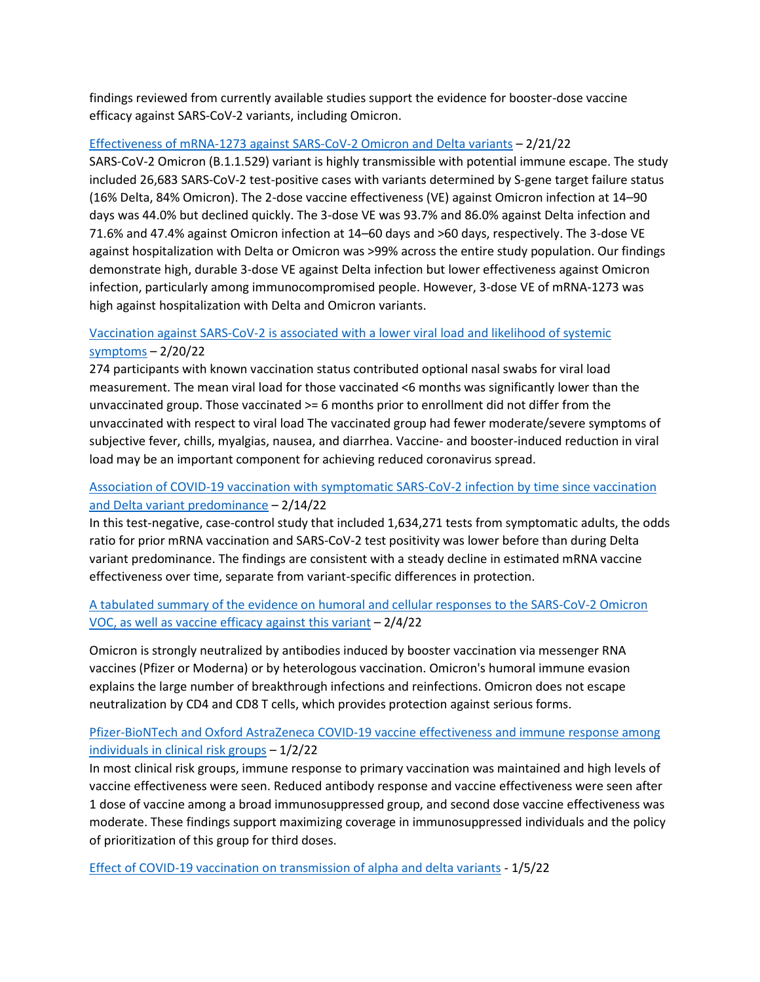findings reviewed from currently available studies support the evidence for booster-dose vaccine efficacy against SARS-CoV-2 variants, including Omicron.

#### [Effectiveness of mRNA-1273 against SARS-CoV-2 Omicron and Delta variants](https://doi.org/10.1038/s41591-022-01753-y) – 2/21/22

SARS-CoV-2 Omicron (B.1.1.529) variant is highly transmissible with potential immune escape. The study included 26,683 SARS-CoV-2 test-positive cases with variants determined by S-gene target failure status (16% Delta, 84% Omicron). The 2-dose vaccine effectiveness (VE) against Omicron infection at 14–90 days was 44.0% but declined quickly. The 3-dose VE was 93.7% and 86.0% against Delta infection and 71.6% and 47.4% against Omicron infection at 14–60 days and >60 days, respectively. The 3-dose VE against hospitalization with Delta or Omicron was >99% across the entire study population. Our findings demonstrate high, durable 3-dose VE against Delta infection but lower effectiveness against Omicron infection, particularly among immunocompromised people. However, 3-dose VE of mRNA-1273 was high against hospitalization with Delta and Omicron variants.

## [Vaccination against SARS-CoV-2 is associated with a lower viral load and likelihood of systemic](https://doi.org/10.1093/ofid/ofac066)  [symptoms](https://doi.org/10.1093/ofid/ofac066) – 2/20/22

274 participants with known vaccination status contributed optional nasal swabs for viral load measurement. The mean viral load for those vaccinated <6 months was significantly lower than the unvaccinated group. Those vaccinated >= 6 months prior to enrollment did not differ from the unvaccinated with respect to viral load The vaccinated group had fewer moderate/severe symptoms of subjective fever, chills, myalgias, nausea, and diarrhea. Vaccine- and booster-induced reduction in viral load may be an important component for achieving reduced coronavirus spread.

## [Association of COVID-19 vaccination with symptomatic SARS-CoV-2 infection by time since vaccination](https://jamanetwork.com/journals/jama/fullarticle/2789294)  [and Delta variant predominance](https://jamanetwork.com/journals/jama/fullarticle/2789294) – 2/14/22

In this test-negative, case-control study that included 1,634,271 tests from symptomatic adults, the odds ratio for prior mRNA vaccination and SARS-CoV-2 test positivity was lower before than during Delta variant predominance. The findings are consistent with a steady decline in estimated mRNA vaccine effectiveness over time, separate from variant-specific differences in protection.

## [A tabulated summary of the evidence on humoral and cellular responses to the SARS-CoV-2 Omicron](https://www.sciencedirect.com/science/article/pii/S0165247822000219)  [VOC, as well as vaccine efficacy against this variant](https://www.sciencedirect.com/science/article/pii/S0165247822000219) – 2/4/22

Omicron is strongly neutralized by antibodies induced by booster vaccination via messenger RNA vaccines (Pfizer or Moderna) or by heterologous vaccination. Omicron's humoral immune evasion explains the large number of breakthrough infections and reinfections. Omicron does not escape neutralization by CD4 and CD8 T cells, which provides protection against serious forms.

## [Pfizer-BioNTech and Oxford AstraZeneca COVID-19 vaccine effectiveness and immune response among](https://doi.org/10.1016/j.jinf.2021.12.044)  [individuals in clinical risk groups](https://doi.org/10.1016/j.jinf.2021.12.044) – 1/2/22

In most clinical risk groups, immune response to primary vaccination was maintained and high levels of vaccine effectiveness were seen. Reduced antibody response and vaccine effectiveness were seen after 1 dose of vaccine among a broad immunosuppressed group, and second dose vaccine effectiveness was moderate. These findings support maximizing coverage in immunosuppressed individuals and the policy of prioritization of this group for third doses.

[Effect of COVID-19 vaccination on transmission of alpha and delta variants](https://www.nejm.org/doi/full/10.1056/NEJMoa2116597?query=TOC&cid=NEJM%20eToc%2C%20January%206%2C%202022%20DM604610_NEJM_Non_Subscriber&bid=758696925) - 1/5/22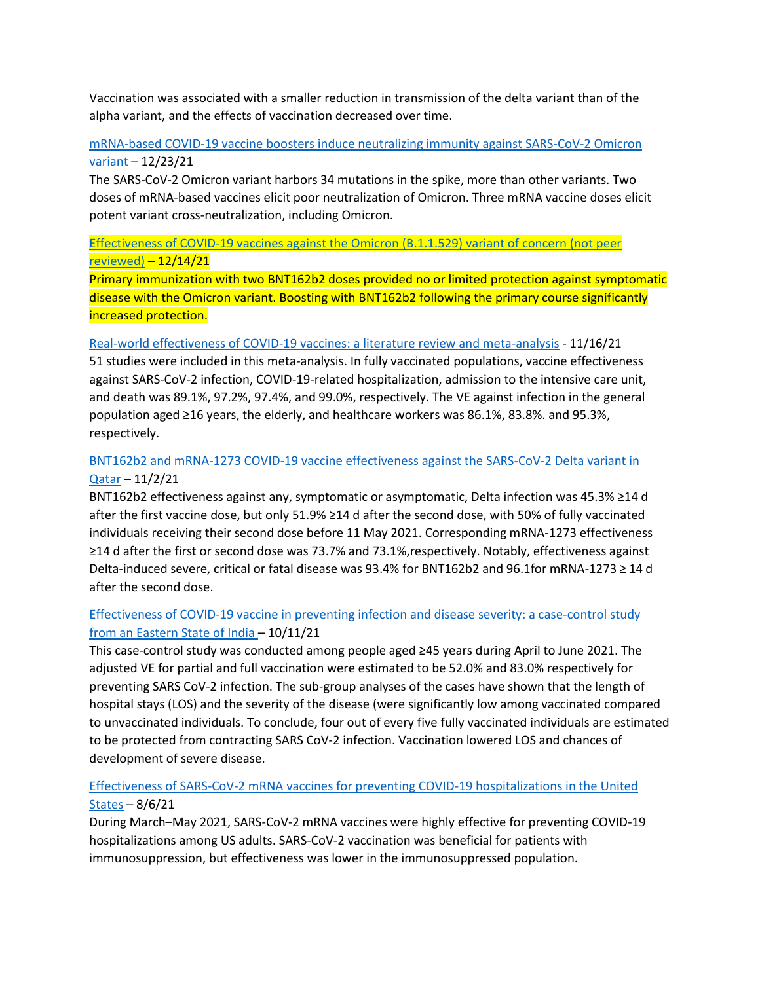Vaccination was associated with a smaller reduction in transmission of the delta variant than of the alpha variant, and the effects of vaccination decreased over time.

## [mRNA-based COVID-19 vaccine boosters induce neutralizing immunity against SARS-CoV-2 Omicron](https://www.cell.com/cell/fulltext/S0092-8674(21)01496-3)  [variant](https://www.cell.com/cell/fulltext/S0092-8674(21)01496-3) – 12/23/21

The SARS-CoV-2 Omicron variant harbors 34 mutations in the spike, more than other variants. Two doses of mRNA-based vaccines elicit poor neutralization of Omicron. Three mRNA vaccine doses elicit potent variant cross-neutralization, including Omicron.

## [Effectiveness of COVID-19 vaccines against the Omicron \(B.1.1.529\) variant of concern \(not peer](https://www.medrxiv.org/content/10.1101/2021.12.14.21267615v1)  [reviewed\)](https://www.medrxiv.org/content/10.1101/2021.12.14.21267615v1) – 12/14/21

Primary immunization with two BNT162b2 doses provided no or limited protection against symptomatic disease with the Omicron variant. Boosting with BNT162b2 following the primary course significantly increased protection.

#### [Real-world effectiveness of COVID-19 vaccines: a literature review and meta-analysis](https://doi.org/10.1016/j.ijid.2021.11.009) - 11/16/21

51 studies were included in this meta-analysis. In fully vaccinated populations, vaccine effectiveness against SARS-CoV-2 infection, COVID-19-related hospitalization, admission to the intensive care unit, and death was 89.1%, 97.2%, 97.4%, and 99.0%, respectively. The VE against infection in the general population aged ≥16 years, the elderly, and healthcare workers was 86.1%, 83.8%. and 95.3%, respectively.

## [BNT162b2 and mRNA-1273 COVID-19 vaccine effectiveness against the SARS-CoV-2 Delta variant in](https://doi.org/10.1038/s41591-021-01583-4)  [Qatar](https://doi.org/10.1038/s41591-021-01583-4) – 11/2/21

BNT162b2 effectiveness against any, symptomatic or asymptomatic, Delta infection was 45.3% ≥14 d after the first vaccine dose, but only 51.9% ≥14 d after the second dose, with 50% of fully vaccinated individuals receiving their second dose before 11 May 2021. Corresponding mRNA-1273 effectiveness ≥14 d after the first or second dose was 73.7% and 73.1%,respectively. Notably, effectiveness against Delta-induced severe, critical or fatal disease was 93.4% for BNT162b2 and 96.1for mRNA-1273 ≥ 14 d after the second dose.

## [Effectiveness of COVID-19 vaccine in preventing infection and disease severity: a case-control study](https://doi.org/10.1017/S0950268821002247)  [from an Eastern State of India](https://doi.org/10.1017/S0950268821002247) – 10/11/21

This case-control study was conducted among people aged ≥45 years during April to June 2021. The adjusted VE for partial and full vaccination were estimated to be 52.0% and 83.0% respectively for preventing SARS CoV-2 infection. The sub-group analyses of the cases have shown that the length of hospital stays (LOS) and the severity of the disease (were significantly low among vaccinated compared to unvaccinated individuals. To conclude, four out of every five fully vaccinated individuals are estimated to be protected from contracting SARS CoV-2 infection. Vaccination lowered LOS and chances of development of severe disease.

#### [Effectiveness of SARS-CoV-2 mRNA vaccines for preventing COVID-19 hospitalizations in the United](https://doi.org/10.1093/cid/ciab687)  [States](https://doi.org/10.1093/cid/ciab687) – 8/6/21

During March–May 2021, SARS-CoV-2 mRNA vaccines were highly effective for preventing COVID-19 hospitalizations among US adults. SARS-CoV-2 vaccination was beneficial for patients with immunosuppression, but effectiveness was lower in the immunosuppressed population.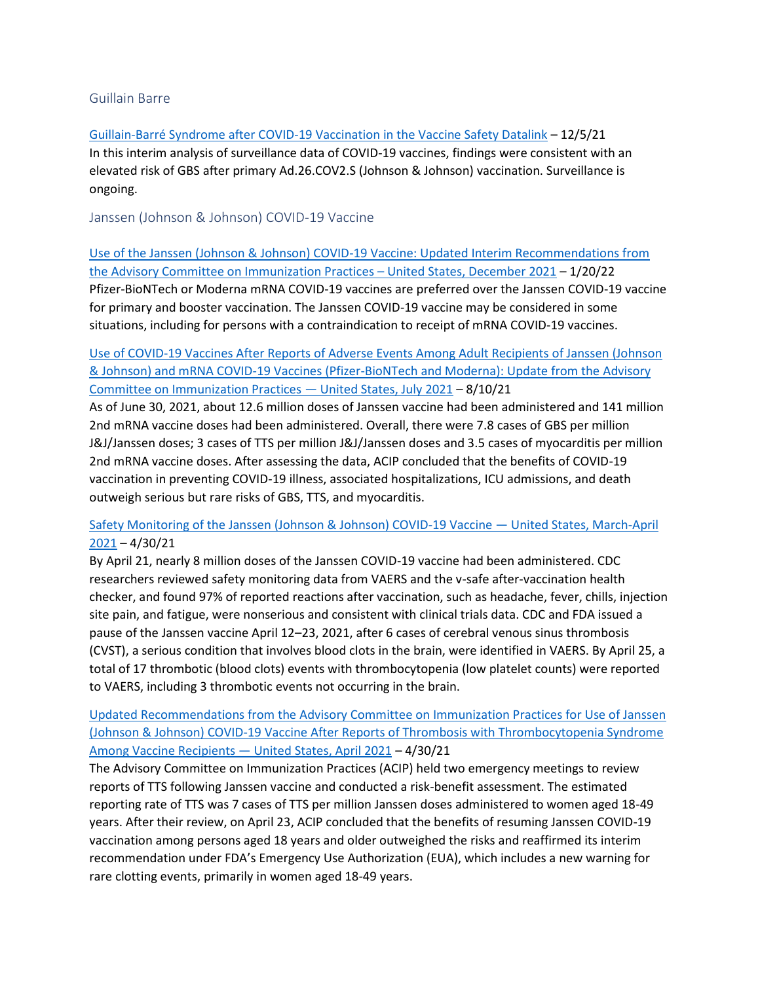#### <span id="page-14-0"></span>Guillain Barre

[Guillain-Barré Syndrome after COVID-19 Vaccination in the Vaccine Safety Datalink](http://doi.org/10.1101.2021.12.03.21266419) – 12/5/21 In this interim analysis of surveillance data of COVID-19 vaccines, findings were consistent with an elevated risk of GBS after primary Ad.26.COV2.S (Johnson & Johnson) vaccination. Surveillance is ongoing.

<span id="page-14-1"></span>Janssen (Johnson & Johnson) COVID-19 Vaccine

[Use of the Janssen \(Johnson & Johnson\) COVID-19 Vaccine: Updated Interim Recommendations from](https://www.cdc.gov/mmwr/volumes/71/wr/mm7103a4.htm)  [the Advisory Committee on Immunization Practices](https://www.cdc.gov/mmwr/volumes/71/wr/mm7103a4.htm) – United States, December 2021 – 1/20/22 Pfizer-BioNTech or Moderna mRNA COVID-19 vaccines are preferred over the Janssen COVID-19 vaccine for primary and booster vaccination. The Janssen COVID-19 vaccine may be considered in some situations, including for persons with a contraindication to receipt of mRNA COVID-19 vaccines.

## [Use of COVID-19 Vaccines After Reports of Adverse Events Among Adult Recipients of Janssen \(Johnson](https://www.cdc.gov/mmwr/volumes/70/wr/mm7032e4.htm)  [& Johnson\) and mRNA COVID-19 Vaccines \(Pfizer-BioNTech and Moderna\): Update from the](https://www.cdc.gov/mmwr/volumes/70/wr/mm7032e4.htm) Advisory [Committee on Immunization Practices](https://www.cdc.gov/mmwr/volumes/70/wr/mm7032e4.htm) — United States, July 2021 – 8/10/21

As of June 30, 2021, about 12.6 million doses of Janssen vaccine had been administered and 141 million 2nd mRNA vaccine doses had been administered. Overall, there were 7.8 cases of GBS per million J&J/Janssen doses; 3 cases of TTS per million J&J/Janssen doses and 3.5 cases of myocarditis per million 2nd mRNA vaccine doses. After assessing the data, ACIP concluded that the benefits of COVID-19 vaccination in preventing COVID-19 illness, associated hospitalizations, ICU admissions, and death outweigh serious but rare risks of GBS, TTS, and myocarditis.

## [Safety Monitoring of the Janssen \(Johnson & Johnson\) COVID-19 Vaccine](https://www.cdc.gov/mmwr/volumes/70/wr/mm7018e2.htm) — United States, March-April  $2021 - 4/30/21$  $2021 - 4/30/21$

By April 21, nearly 8 million doses of the Janssen COVID-19 vaccine had been administered. CDC researchers reviewed safety monitoring data from VAERS and the v-safe after-vaccination health checker, and found 97% of reported reactions after vaccination, such as headache, fever, chills, injection site pain, and fatigue, were nonserious and consistent with clinical trials data. CDC and FDA issued a pause of the Janssen vaccine April 12–23, 2021, after 6 cases of cerebral venous sinus thrombosis (CVST), a serious condition that involves blood clots in the brain, were identified in VAERS. By April 25, a total of 17 thrombotic (blood clots) events with thrombocytopenia (low platelet counts) were reported to VAERS, including 3 thrombotic events not occurring in the brain.

## [Updated Recommendations from the Advisory Committee on Immunization Practices for Use of Janssen](https://www.cdc.gov/mmwr/volumes/70/wr/mm7017e4.htm?s_cid=mm7017e4_w)  [\(Johnson & Johnson\) COVID-19 Vaccine After Reports of Thrombosis with Thrombocytopenia Syndrome](https://www.cdc.gov/mmwr/volumes/70/wr/mm7017e4.htm?s_cid=mm7017e4_w)  [Among Vaccine Recipients](https://www.cdc.gov/mmwr/volumes/70/wr/mm7017e4.htm?s_cid=mm7017e4_w) — United States, April 2021 – 4/30/21

The Advisory Committee on Immunization Practices (ACIP) held two emergency meetings to review reports of TTS following Janssen vaccine and conducted a risk-benefit assessment. The estimated reporting rate of TTS was 7 cases of TTS per million Janssen doses administered to women aged 18-49 years. After their review, on April 23, ACIP concluded that the benefits of resuming Janssen COVID-19 vaccination among persons aged 18 years and older outweighed the risks and reaffirmed its interim recommendation under FDA's Emergency Use Authorization (EUA), which includes a new warning for rare clotting events, primarily in women aged 18-49 years.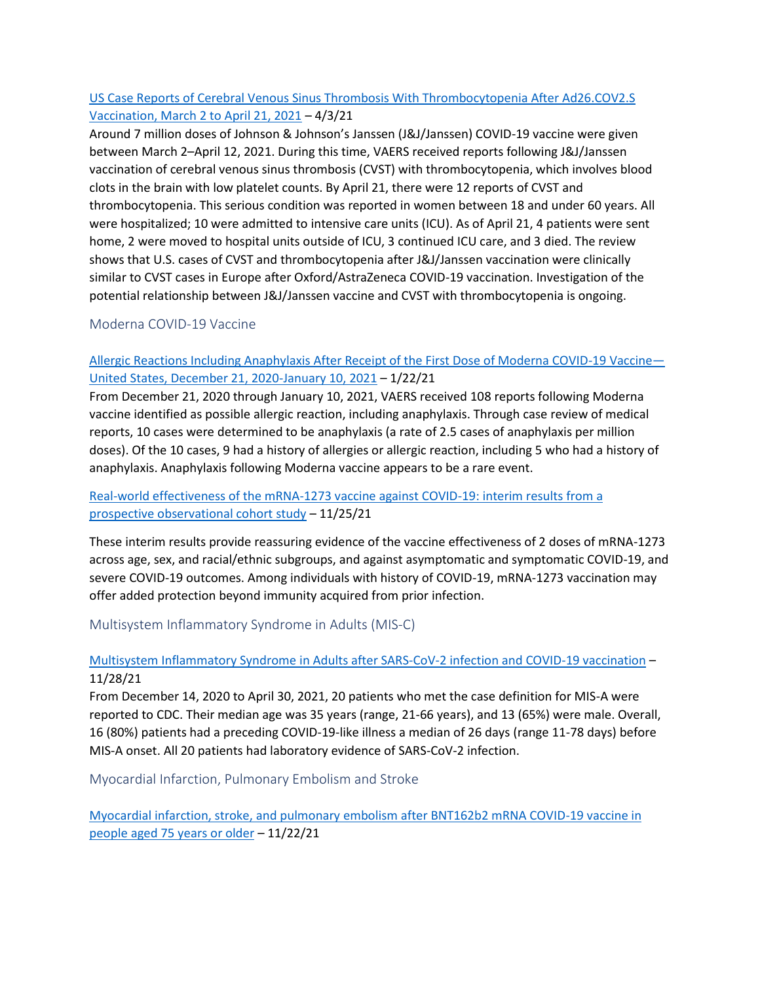## [US Case Reports of Cerebral Venous Sinus Thrombosis With Thrombocytopenia After Ad26.COV2.S](https://jamanetwork.com/journals/jama/fullarticle/2779731)  [Vaccination, March 2 to April 21, 2021](https://jamanetwork.com/journals/jama/fullarticle/2779731) – 4/3/21

Around 7 million doses of Johnson & Johnson's Janssen (J&J/Janssen) COVID-19 vaccine were given between March 2–April 12, 2021. During this time, VAERS received reports following J&J/Janssen vaccination of cerebral venous sinus thrombosis (CVST) with thrombocytopenia, which involves blood clots in the brain with low platelet counts. By April 21, there were 12 reports of CVST and thrombocytopenia. This serious condition was reported in women between 18 and under 60 years. All were hospitalized; 10 were admitted to intensive care units (ICU). As of April 21, 4 patients were sent home, 2 were moved to hospital units outside of ICU, 3 continued ICU care, and 3 died. The review shows that U.S. cases of CVST and thrombocytopenia after J&J/Janssen vaccination were clinically similar to CVST cases in Europe after Oxford/AstraZeneca COVID-19 vaccination. Investigation of the potential relationship between J&J/Janssen vaccine and CVST with thrombocytopenia is ongoing.

## <span id="page-15-0"></span>Moderna COVID-19 Vaccine

## [Allergic Reactions Including Anaphylaxis After Receipt of the First Dose of Moderna COVID-19 Vaccine](https://www.cdc.gov/mmwr/volumes/70/wr/mm7004e1.htm)— [United States, December 21, 2020-January 10, 2021](https://www.cdc.gov/mmwr/volumes/70/wr/mm7004e1.htm) – 1/22/21

From December 21, 2020 through January 10, 2021, VAERS received 108 reports following Moderna vaccine identified as possible allergic reaction, including anaphylaxis. Through case review of medical reports, 10 cases were determined to be anaphylaxis (a rate of 2.5 cases of anaphylaxis per million doses). Of the 10 cases, 9 had a history of allergies or allergic reaction, including 5 who had a history of anaphylaxis. Anaphylaxis following Moderna vaccine appears to be a rare event.

## [Real-world effectiveness of the mRNA-1273 vaccine against COVID-19: interim results from a](https://doi.org/10.1016/j.lana.2021.100134)  [prospective observational cohort study](https://doi.org/10.1016/j.lana.2021.100134) – 11/25/21

These interim results provide reassuring evidence of the vaccine effectiveness of 2 doses of mRNA-1273 across age, sex, and racial/ethnic subgroups, and against asymptomatic and symptomatic COVID-19, and severe COVID-19 outcomes. Among individuals with history of COVID-19, mRNA-1273 vaccination may offer added protection beyond immunity acquired from prior infection.

<span id="page-15-1"></span>Multisystem Inflammatory Syndrome in Adults (MIS-C)

## [Multisystem Inflammatory Syndrome in Adults after SARS-CoV-2 infection and COVID-19 vaccination](https://pubmed.ncbi.nlm.nih.gov/34849680/) – 11/28/21

From December 14, 2020 to April 30, 2021, 20 patients who met the case definition for MIS-A were reported to CDC. Their median age was 35 years (range, 21-66 years), and 13 (65%) were male. Overall, 16 (80%) patients had a preceding COVID-19-like illness a median of 26 days (range 11-78 days) before MIS-A onset. All 20 patients had laboratory evidence of SARS-CoV-2 infection.

<span id="page-15-2"></span>Myocardial Infarction, Pulmonary Embolism and Stroke

[Myocardial infarction, stroke, and pulmonary embolism after BNT162b2 mRNA COVID-19 vaccine in](https://jamanetwork.com/journals/jama/fullarticle/2786667)  [people aged 75 years or older](https://jamanetwork.com/journals/jama/fullarticle/2786667) – 11/22/21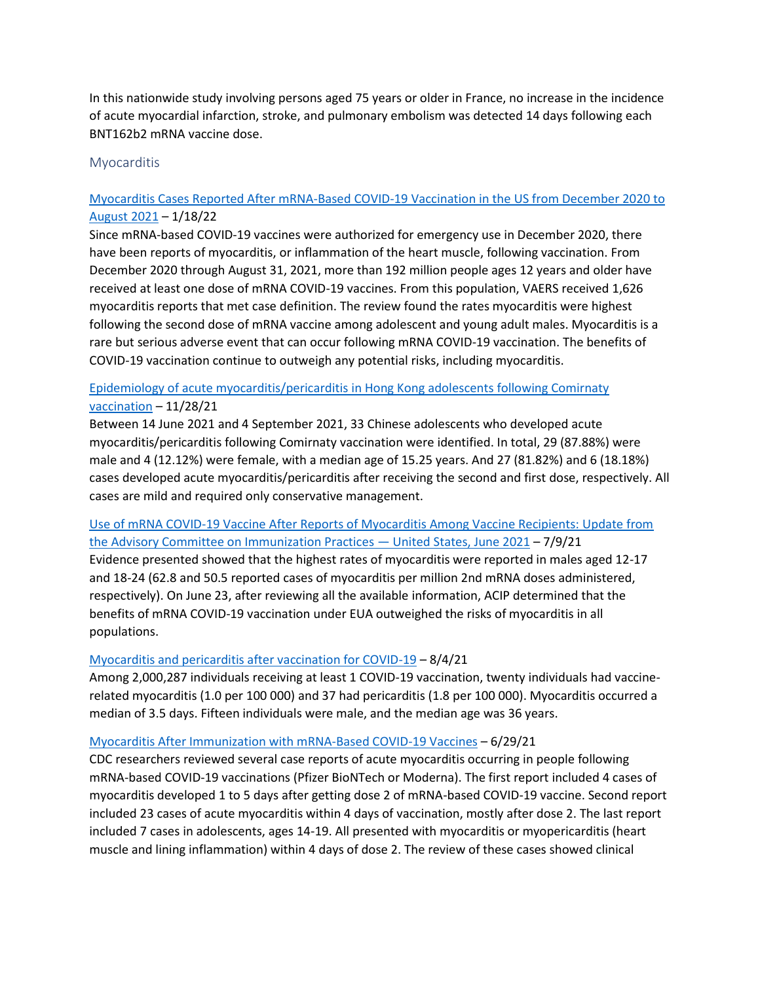In this nationwide study involving persons aged 75 years or older in France, no increase in the incidence of acute myocardial infarction, stroke, and pulmonary embolism was detected 14 days following each BNT162b2 mRNA vaccine dose.

#### <span id="page-16-0"></span>**Myocarditis**

## [Myocarditis Cases Reported After mRNA-Based COVID-19 Vaccination in the US from December 2020 to](https://jamanetwork.com/journals/jama/fullarticle/2788346)  [August 2021](https://jamanetwork.com/journals/jama/fullarticle/2788346) – 1/18/22

Since mRNA-based COVID-19 vaccines were authorized for emergency use in December 2020, there have been reports of myocarditis, or inflammation of the heart muscle, following vaccination. From December 2020 through August 31, 2021, more than 192 million people ages 12 years and older have received at least one dose of mRNA COVID-19 vaccines. From this population, VAERS received 1,626 myocarditis reports that met case definition. The review found the rates myocarditis were highest following the second dose of mRNA vaccine among adolescent and young adult males. Myocarditis is a rare but serious adverse event that can occur following mRNA COVID-19 vaccination. The benefits of COVID-19 vaccination continue to outweigh any potential risks, including myocarditis.

## [Epidemiology of acute myocarditis/pericarditis in Hong Kong adolescents following Comirnaty](https://doi.org/10.1093/cid/ciab989)  [vaccination](https://doi.org/10.1093/cid/ciab989) – 11/28/21

Between 14 June 2021 and 4 September 2021, 33 Chinese adolescents who developed acute myocarditis/pericarditis following Comirnaty vaccination were identified. In total, 29 (87.88%) were male and 4 (12.12%) were female, with a median age of 15.25 years. And 27 (81.82%) and 6 (18.18%) cases developed acute myocarditis/pericarditis after receiving the second and first dose, respectively. All cases are mild and required only conservative management.

## [Use of mRNA COVID-19 Vaccine After Reports of Myocarditis Among Vaccine Recipients: Update from](https://www.cdc.gov/mmwr/volumes/70/wr/mm7027e2.htm)  [the Advisory Committee on Immunization Practices](https://www.cdc.gov/mmwr/volumes/70/wr/mm7027e2.htm) — United States, June 2021 – 7/9/21

Evidence presented showed that the highest rates of myocarditis were reported in males aged 12-17 and 18-24 (62.8 and 50.5 reported cases of myocarditis per million 2nd mRNA doses administered, respectively). On June 23, after reviewing all the available information, ACIP determined that the benefits of mRNA COVID-19 vaccination under EUA outweighed the risks of myocarditis in all populations.

## [Myocarditis and pericarditis after vaccination for COVID-19](http://jamanetwork.com/article.aspx?doi=10.1001/jama.2021.13443) – 8/4/21

Among 2,000,287 individuals receiving at least 1 COVID-19 vaccination, twenty individuals had vaccinerelated myocarditis (1.0 per 100 000) and 37 had pericarditis (1.8 per 100 000). Myocarditis occurred a median of 3.5 days. Fifteen individuals were male, and the median age was 36 years.

#### [Myocarditis After Immunization with mRNA-Based COVID-19 Vaccines](https://jamanetwork.com/journals/jamacardiology/fullarticle/2781600) – 6/29/21

CDC researchers reviewed several case reports of acute myocarditis occurring in people following mRNA-based COVID-19 vaccinations (Pfizer BioNTech or Moderna). The first report included 4 cases of myocarditis developed 1 to 5 days after getting dose 2 of mRNA-based COVID-19 vaccine. Second report included 23 cases of acute myocarditis within 4 days of vaccination, mostly after dose 2. The last report included 7 cases in adolescents, ages 14-19. All presented with myocarditis or myopericarditis (heart muscle and lining inflammation) within 4 days of dose 2. The review of these cases showed clinical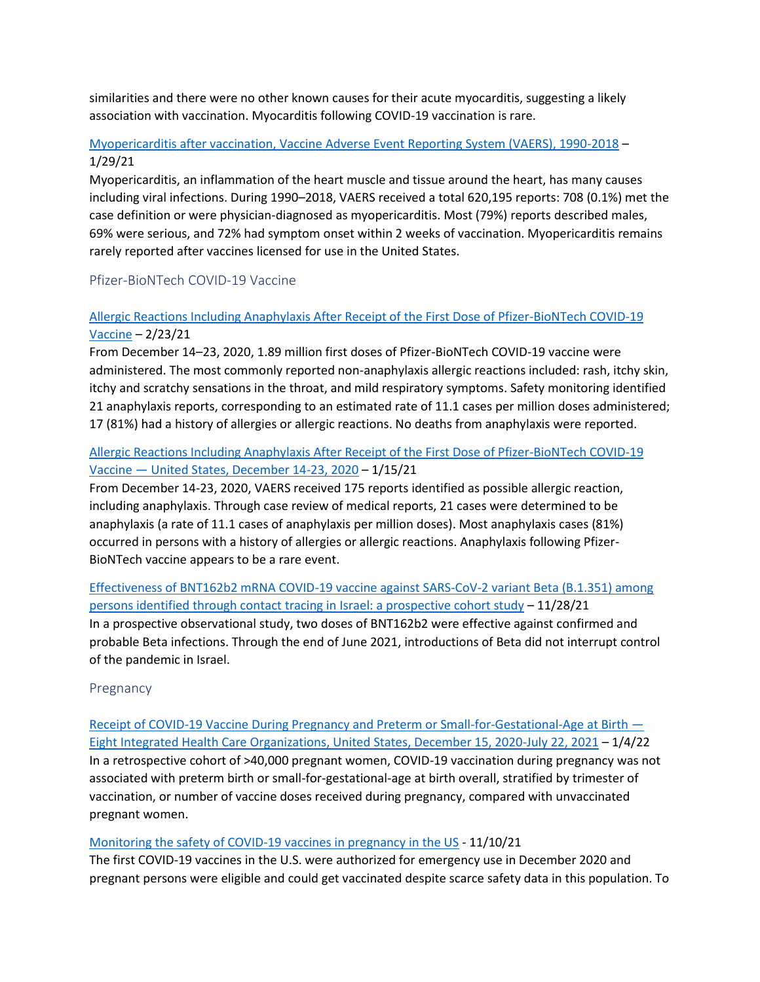similarities and there were no other known causes for their acute myocarditis, suggesting a likely association with vaccination. Myocarditis following COVID-19 vaccination is rare.

## [Myopericarditis after vaccination, Vaccine Adverse Event Reporting System \(VAERS\), 1990-2018](https://pubmed.ncbi.nlm.nih.gov/33422381/) – 1/29/21

Myopericarditis, an inflammation of the heart muscle and tissue around the heart, has many causes including viral infections. During 1990–2018, VAERS received a total 620,195 reports: 708 (0.1%) met the case definition or were physician-diagnosed as myopericarditis. Most (79%) reports described males, 69% were serious, and 72% had symptom onset within 2 weeks of vaccination. Myopericarditis remains rarely reported after vaccines licensed for use in the United States.

## <span id="page-17-0"></span>Pfizer-BioNTech COVID-19 Vaccine

## [Allergic Reactions Including Anaphylaxis After Receipt of the First Dose of Pfizer-BioNTech COVID-19](https://pubmed.ncbi.nlm.nih.gov/33475702/)  [Vaccine](https://pubmed.ncbi.nlm.nih.gov/33475702/) – 2/23/21

From December 14–23, 2020, 1.89 million first doses of Pfizer-BioNTech COVID-19 vaccine were administered. The most commonly reported non-anaphylaxis allergic reactions included: rash, itchy skin, itchy and scratchy sensations in the throat, and mild respiratory symptoms. Safety monitoring identified 21 anaphylaxis reports, corresponding to an estimated rate of 11.1 cases per million doses administered; 17 (81%) had a history of allergies or allergic reactions. No deaths from anaphylaxis were reported.

## [Allergic Reactions Including Anaphylaxis After Receipt of the First Dose of Pfizer-BioNTech COVID-19](https://www.cdc.gov/mmwr/volumes/70/wr/mm7002e1.htm)  Vaccine — [United States, December 14-23, 2020](https://www.cdc.gov/mmwr/volumes/70/wr/mm7002e1.htm) – 1/15/21

From December 14-23, 2020, VAERS received 175 reports identified as possible allergic reaction, including anaphylaxis. Through case review of medical reports, 21 cases were determined to be anaphylaxis (a rate of 11.1 cases of anaphylaxis per million doses). Most anaphylaxis cases (81%) occurred in persons with a history of allergies or allergic reactions. Anaphylaxis following Pfizer-BioNTech vaccine appears to be a rare event.

[Effectiveness of BNT162b2 mRNA COVID-19 vaccine against SARS-CoV-2 variant Beta \(B.1.351\) among](https://doi.org/10.1016/j.eclinm.2021.101190)  [persons identified through contact tracing in Israel: a prospective cohort study](https://doi.org/10.1016/j.eclinm.2021.101190) – 11/28/21 In a prospective observational study, two doses of BNT162b2 were effective against confirmed and probable Beta infections. Through the end of June 2021, introductions of Beta did not interrupt control of the pandemic in Israel.

## <span id="page-17-1"></span>Pregnancy

[Receipt of COVID-19 Vaccine During Pregnancy and Preterm or Small-for-Gestational-Age at Birth](https://www.cdc.gov/mmwr/volumes/71/wr/mm7101e1.htm) — [Eight Integrated Health Care Organizations, United States, December 15, 2020-July 22, 2021](https://www.cdc.gov/mmwr/volumes/71/wr/mm7101e1.htm) – 1/4/22 In a retrospective cohort of >40,000 pregnant women, COVID-19 vaccination during pregnancy was not associated with preterm birth or small-for-gestational-age at birth overall, stratified by trimester of vaccination, or number of vaccine doses received during pregnancy, compared with unvaccinated pregnant women.

## [Monitoring the safety of COVID-19 vaccines in pregnancy in the US](https://www.tandfonline.com/doi/full/10.1080/21645515.2021.1984132) - 11/10/21

The first COVID-19 vaccines in the U.S. were authorized for emergency use in December 2020 and pregnant persons were eligible and could get vaccinated despite scarce safety data in this population. To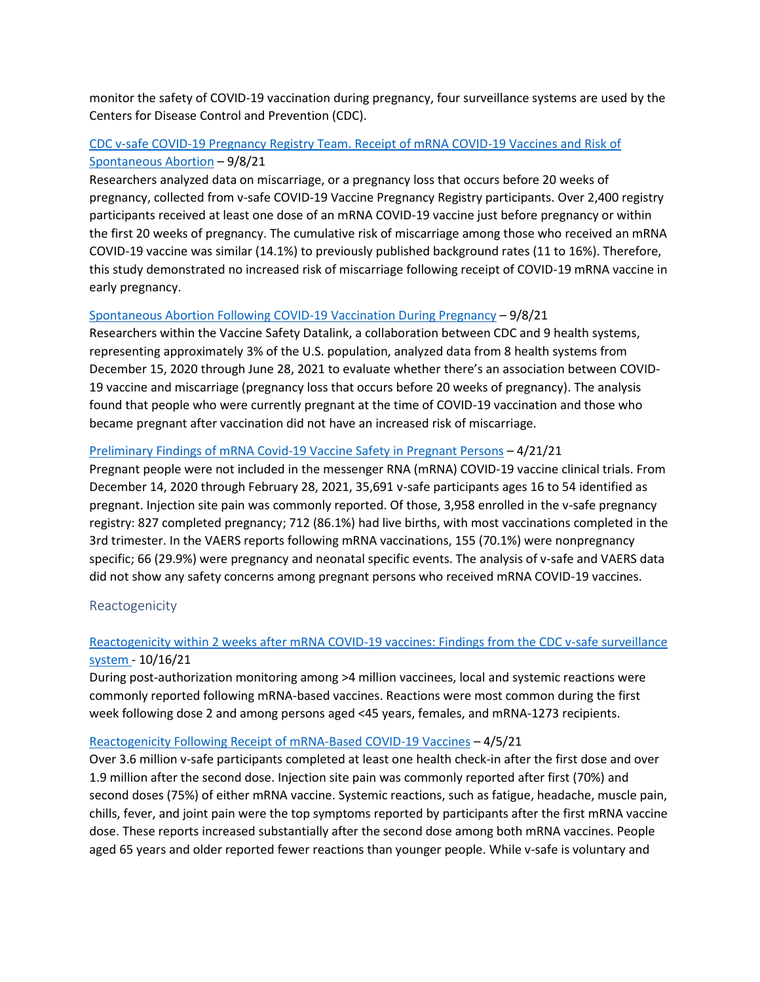monitor the safety of COVID-19 vaccination during pregnancy, four surveillance systems are used by the Centers for Disease Control and Prevention (CDC).

## [CDC v-safe COVID-19 Pregnancy Registry Team. Receipt of mRNA COVID-19 Vaccines and Risk of](https://pubmed.ncbi.nlm.nih.gov/34496196/)  [Spontaneous Abortion](https://pubmed.ncbi.nlm.nih.gov/34496196/) – 9/8/21

Researchers analyzed data on miscarriage, or a pregnancy loss that occurs before 20 weeks of pregnancy, collected from v-safe COVID-19 Vaccine Pregnancy Registry participants. Over 2,400 registry participants received at least one dose of an mRNA COVID-19 vaccine just before pregnancy or within the first 20 weeks of pregnancy. The cumulative risk of miscarriage among those who received an mRNA COVID-19 vaccine was similar (14.1%) to previously published background rates (11 to 16%). Therefore, this study demonstrated no increased risk of miscarriage following receipt of COVID-19 mRNA vaccine in early pregnancy.

#### [Spontaneous Abortion Following COVID-19 Vaccination During Pregnancy](https://jamanetwork.com/journals/jama/fullarticle/2784193) – 9/8/21

Researchers within the Vaccine Safety Datalink, a collaboration between CDC and 9 health systems, representing approximately 3% of the U.S. population, analyzed data from 8 health systems from December 15, 2020 through June 28, 2021 to evaluate whether there's an association between COVID-19 vaccine and miscarriage (pregnancy loss that occurs before 20 weeks of pregnancy). The analysis found that people who were currently pregnant at the time of COVID-19 vaccination and those who became pregnant after vaccination did not have an increased risk of miscarriage.

#### [Preliminary Findings of mRNA Covid-19 Vaccine Safety in Pregnant Persons](https://www.nejm.org/doi/full/10.1056/NEJMoa2104983) – 4/21/21

Pregnant people were not included in the messenger RNA (mRNA) COVID-19 vaccine clinical trials. From December 14, 2020 through February 28, 2021, 35,691 v-safe participants ages 16 to 54 identified as pregnant. Injection site pain was commonly reported. Of those, 3,958 enrolled in the v-safe pregnancy registry: 827 completed pregnancy; 712 (86.1%) had live births, with most vaccinations completed in the 3rd trimester. In the VAERS reports following mRNA vaccinations, 155 (70.1%) were nonpregnancy specific; 66 (29.9%) were pregnancy and neonatal specific events. The analysis of v-safe and VAERS data did not show any safety concerns among pregnant persons who received mRNA COVID-19 vaccines.

#### <span id="page-18-0"></span>Reactogenicity

## [Reactogenicity within 2 weeks after mRNA COVID-19 vaccines: Findings from the CDC v-safe surveillance](https://www.sciencedirect.com/science/article/pii/S0264410X21013396)  [system](https://www.sciencedirect.com/science/article/pii/S0264410X21013396) - 10/16/21

During post-authorization monitoring among >4 million vaccinees, local and systemic reactions were commonly reported following mRNA-based vaccines. Reactions were most common during the first week following dose 2 and among persons aged <45 years, females, and mRNA-1273 recipients.

#### [Reactogenicity Following Receipt of mRNA-Based COVID-19 Vaccines](https://jamanetwork.com/journals/jama/fullarticle/2778441) – 4/5/21

Over 3.6 million v-safe participants completed at least one health check-in after the first dose and over 1.9 million after the second dose. Injection site pain was commonly reported after first (70%) and second doses (75%) of either mRNA vaccine. Systemic reactions, such as fatigue, headache, muscle pain, chills, fever, and joint pain were the top symptoms reported by participants after the first mRNA vaccine dose. These reports increased substantially after the second dose among both mRNA vaccines. People aged 65 years and older reported fewer reactions than younger people. While v-safe is voluntary and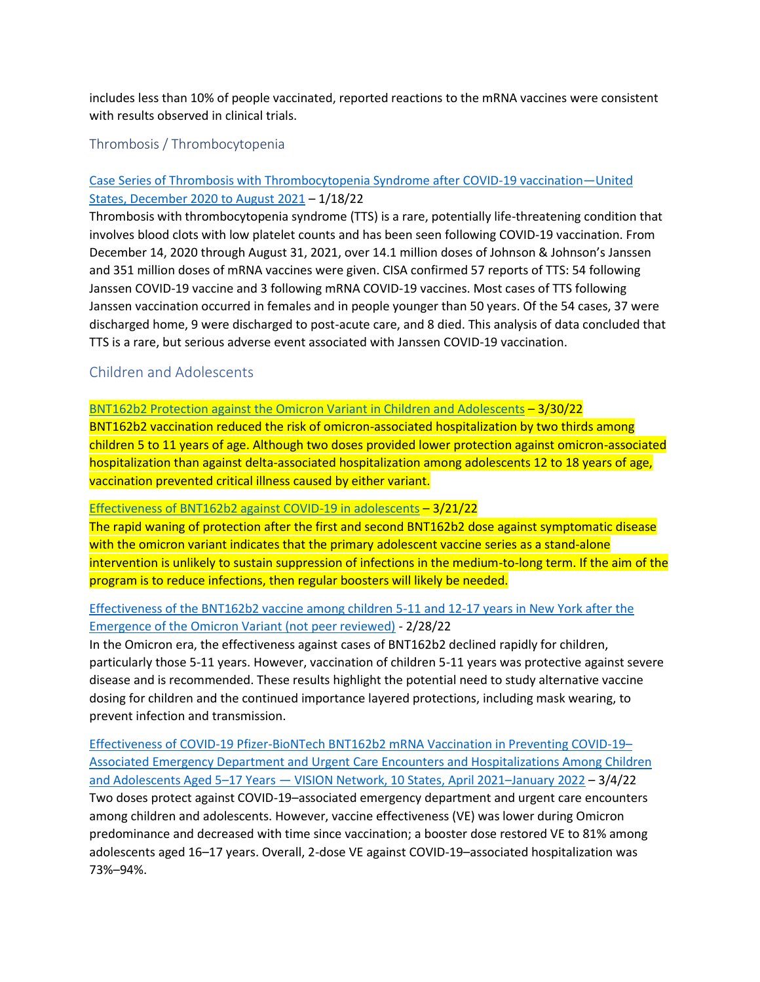includes less than 10% of people vaccinated, reported reactions to the mRNA vaccines were consistent with results observed in clinical trials.

<span id="page-19-0"></span>Thrombosis / Thrombocytopenia

## [Case Series of Thrombosis with Thrombocytopenia Syndrome after COVID-19 vaccination](https://www.acpjournals.org/doi/10.7326/M21-4502)—United [States, December 2020 to August 2021](https://www.acpjournals.org/doi/10.7326/M21-4502) – 1/18/22

Thrombosis with thrombocytopenia syndrome (TTS) is a rare, potentially life-threatening condition that involves blood clots with low platelet counts and has been seen following COVID-19 vaccination. From December 14, 2020 through August 31, 2021, over 14.1 million doses of Johnson & Johnson's Janssen and 351 million doses of mRNA vaccines were given. CISA confirmed 57 reports of TTS: 54 following Janssen COVID-19 vaccine and 3 following mRNA COVID-19 vaccines. Most cases of TTS following Janssen vaccination occurred in females and in people younger than 50 years. Of the 54 cases, 37 were discharged home, 9 were discharged to post-acute care, and 8 died. This analysis of data concluded that TTS is a rare, but serious adverse event associated with Janssen COVID-19 vaccination.

## <span id="page-19-1"></span>Children and Adolescents

[BNT162b2 Protection against the Omicron Variant in Children and Adolescents](https://www.nejm.org/doi/10.1056/NEJMoa2202826) – 3/30/22

BNT162b2 vaccination reduced the risk of omicron-associated hospitalization by two thirds among children 5 to 11 years of age. Although two doses provided lower protection against omicron-associated hospitalization than against delta-associated hospitalization among adolescents 12 to 18 years of age, vaccination prevented critical illness caused by either variant.

#### [Effectiveness of BNT162b2 against COVID-19 in adolescents](https://www.thelancet.com/journals/laninf/article/PIIS1473-3099(22)00177-3/fulltext) – 3/21/22

The rapid waning of protection after the first and second BNT162b2 dose against symptomatic disease with the omicron variant indicates that the primary adolescent vaccine series as a stand-alone intervention is unlikely to sustain suppression of infections in the medium-to-long term. If the aim of the program is to reduce infections, then regular boosters will likely be needed.

## [Effectiveness of the BNT162b2 vaccine among children 5-11 and 12-17 years in New York after the](https://www.medrxiv.org/content/10.1101/2022.02.25.22271454v1.full.pdf)  [Emergence of the Omicron Variant \(not peer reviewed\)](https://www.medrxiv.org/content/10.1101/2022.02.25.22271454v1.full.pdf) - 2/28/22

In the Omicron era, the effectiveness against cases of BNT162b2 declined rapidly for children, particularly those 5-11 years. However, vaccination of children 5-11 years was protective against severe disease and is recommended. These results highlight the potential need to study alternative vaccine dosing for children and the continued importance layered protections, including mask wearing, to prevent infection and transmission.

[Effectiveness of COVID-19 Pfizer-BioNTech BNT162b2 mRNA Vaccination in Preventing COVID-19](https://www.cdc.gov/mmwr/volumes/71/wr/mm7109e3.htm?s_cid=mm7109e3_w)– [Associated Emergency Department and Urgent Care Encounters and Hospitalizations Among Children](https://www.cdc.gov/mmwr/volumes/71/wr/mm7109e3.htm?s_cid=mm7109e3_w)  and Adolescents Aged 5–17 Years — [VISION Network, 10 States, April 2021](https://www.cdc.gov/mmwr/volumes/71/wr/mm7109e3.htm?s_cid=mm7109e3_w)–January 2022 – 3/4/22 Two doses protect against COVID-19–associated emergency department and urgent care encounters among children and adolescents. However, vaccine effectiveness (VE) was lower during Omicron predominance and decreased with time since vaccination; a booster dose restored VE to 81% among adolescents aged 16–17 years. Overall, 2-dose VE against COVID-19–associated hospitalization was 73%–94%.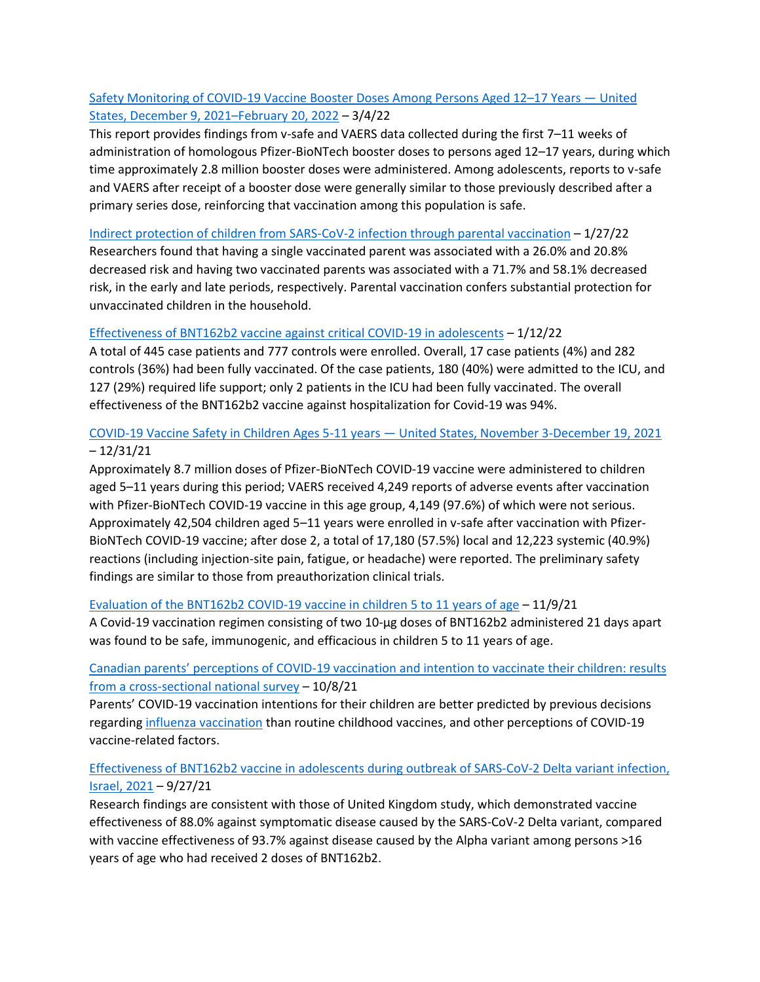## [Safety Monitoring of COVID-19 Vaccine Booster Doses Among Persons Aged 12](https://www.cdc.gov/mmwr/volumes/71/wr/mm7109e2.htm)–17 Years — United [States, December 9, 2021](https://www.cdc.gov/mmwr/volumes/71/wr/mm7109e2.htm)–February 20, 2022 – 3/4/22

This report provides findings from v-safe and VAERS data collected during the first 7–11 weeks of administration of homologous Pfizer-BioNTech booster doses to persons aged 12–17 years, during which time approximately 2.8 million booster doses were administered. Among adolescents, reports to v-safe and VAERS after receipt of a booster dose were generally similar to those previously described after a primary series dose, reinforcing that vaccination among this population is safe.

#### [Indirect protection of children from SARS-CoV-2 infection through parental vaccination](https://doi.org/10.1126/science.abm3087) – 1/27/22

Researchers found that having a single vaccinated parent was associated with a 26.0% and 20.8% decreased risk and having two vaccinated parents was associated with a 71.7% and 58.1% decreased risk, in the early and late periods, respectively. Parental vaccination confers substantial protection for unvaccinated children in the household.

#### [Effectiveness of BNT162b2 vaccine against critical COVID-19 in adolescents](https://www.nejm.org/doi/full/10.1056/NEJMoa2117995) – 1/12/22

A total of 445 case patients and 777 controls were enrolled. Overall, 17 case patients (4%) and 282 controls (36%) had been fully vaccinated. Of the case patients, 180 (40%) were admitted to the ICU, and 127 (29%) required life support; only 2 patients in the ICU had been fully vaccinated. The overall effectiveness of the BNT162b2 vaccine against hospitalization for Covid-19 was 94%.

## [COVID-19 Vaccine Safety in Children Ages 5-11 years](https://www.cdc.gov/mmwr/volumes/70/wr/mm705152a1.htm) — United States, November 3-December 19, 2021 – 12/31/21

Approximately 8.7 million doses of Pfizer-BioNTech COVID-19 vaccine were administered to children aged 5–11 years during this period; VAERS received 4,249 reports of adverse events after vaccination with Pfizer-BioNTech COVID-19 vaccine in this age group, 4,149 (97.6%) of which were not serious. Approximately 42,504 children aged 5–11 years were enrolled in v-safe after vaccination with Pfizer-BioNTech COVID-19 vaccine; after dose 2, a total of 17,180 (57.5%) local and 12,223 systemic (40.9%) reactions (including injection-site pain, fatigue, or headache) were reported. The preliminary safety findings are similar to those from preauthorization clinical trials.

## Evaluation of the BNT162b2 [COVID-19 vaccine in children 5 to 11 years of age](https://www.nejm.org/doi/full/10.1056/NEJMoa2116298) – 11/9/21

A Covid-19 vaccination regimen consisting of two 10-μg doses of BNT162b2 administered 21 days apart was found to be safe, immunogenic, and efficacious in children 5 to 11 years of age.

## Canadian parents' perceptions of COVID[-19 vaccination and intention to vaccinate their children: results](https://doi.org/10.1016/j.vaccine.2021.10.002)  [from a cross-sectional national survey](https://doi.org/10.1016/j.vaccine.2021.10.002) – 10/8/21

Parents' COVID-19 vaccination intentions for their children are better predicted by previous decisions regarding [influenza vaccination](https://www.sciencedirect.com/topics/medicine-and-dentistry/influenza-vaccination) than routine childhood vaccines, and other perceptions of COVID-19 vaccine-related factors.

## [Effectiveness of BNT162b2 vaccine in adolescents during outbreak of](https://doi.org/10.3201/eid2711.211886) SARS-CoV-2 Delta variant infection, [Israel, 2021](https://doi.org/10.3201/eid2711.211886) – 9/27/21

Research findings are consistent with those of United Kingdom study, which demonstrated vaccine effectiveness of 88.0% against symptomatic disease caused by the SARS-CoV-2 Delta variant, compared with vaccine effectiveness of 93.7% against disease caused by the Alpha variant among persons >16 years of age who had received 2 doses of BNT162b2.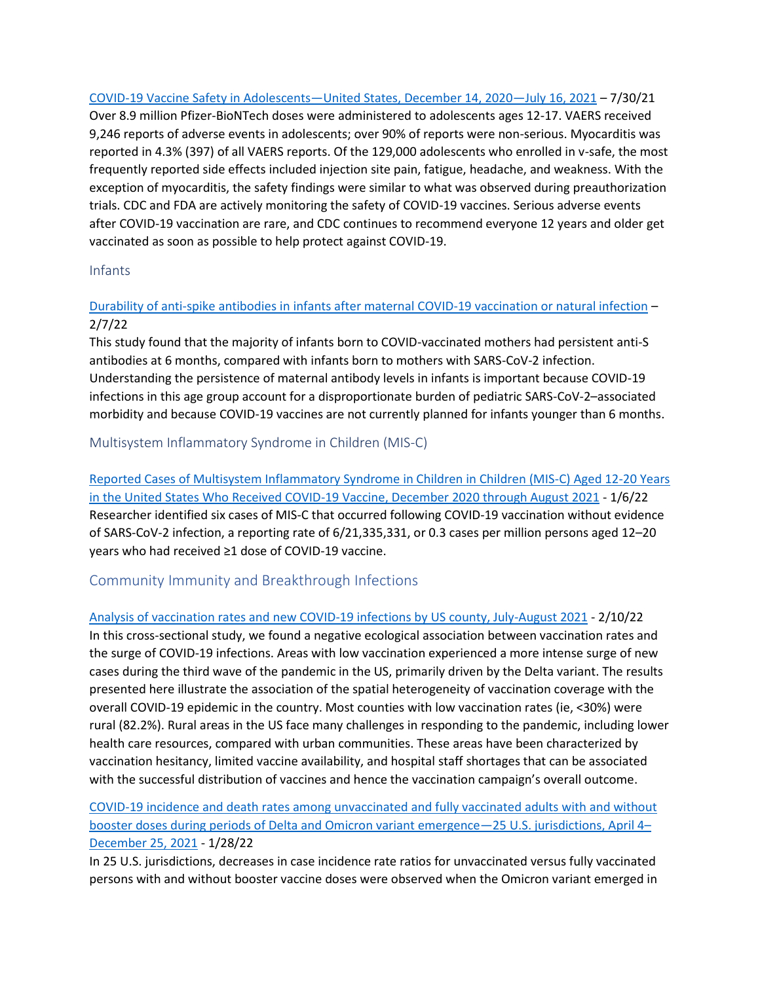[COVID-19 Vaccine Safety in Adolescents](https://www.cdc.gov/mmwr/volumes/70/wr/mm7031e1.htm)—United States, December 14, 2020—July 16, 2021 – 7/30/21 Over 8.9 million Pfizer-BioNTech doses were administered to adolescents ages 12-17. VAERS received 9,246 reports of adverse events in adolescents; over 90% of reports were non-serious. Myocarditis was reported in 4.3% (397) of all VAERS reports. Of the 129,000 adolescents who enrolled in v-safe, the most frequently reported side effects included injection site pain, fatigue, headache, and weakness. With the exception of myocarditis, the safety findings were similar to what was observed during preauthorization trials. CDC and FDA are actively monitoring the safety of COVID-19 vaccines. Serious adverse events after COVID-19 vaccination are rare, and CDC continues to recommend everyone 12 years and older get vaccinated as soon as possible to help protect against COVID-19.

## <span id="page-21-0"></span>Infants

## [Durability of anti-spike antibodies in infants after maternal COVID-19 vaccination or natural infection](https://jamanetwork.com/journals/jama/fullarticle/2788986) – 2/7/22

This study found that the majority of infants born to COVID-vaccinated mothers had persistent anti-S antibodies at 6 months, compared with infants born to mothers with SARS-CoV-2 infection. Understanding the persistence of maternal antibody levels in infants is important because COVID-19 infections in this age group account for a disproportionate burden of pediatric SARS-CoV-2–associated morbidity and because COVID-19 vaccines are not currently planned for infants younger than 6 months.

## <span id="page-21-1"></span>Multisystem Inflammatory Syndrome in Children (MIS-C)

[Reported Cases of Multisystem Inflammatory Syndrome in Children in Children \(MIS-C\) Aged 12-20 Years](https://www.medrxiv.org/content/10.1101/2022.01.03.22268681v1)  [in the United States Who Received COVID-19 Vaccine, December 2020 through August 2021](https://www.medrxiv.org/content/10.1101/2022.01.03.22268681v1) - 1/6/22 Researcher identified six cases of MIS-C that occurred following COVID-19 vaccination without evidence of SARS-CoV-2 infection, a reporting rate of 6/21,335,331, or 0.3 cases per million persons aged 12–20 years who had received ≥1 dose of COVID-19 vaccine.

## <span id="page-21-2"></span>Community Immunity and Breakthrough Infections

[Analysis of vaccination rates and new COVID-19 infections by US county, July-August 2021](https://jamanetwork.com/journals/jamanetworkopen/fullarticle/2788928) - 2/10/22 In this cross-sectional study, we found a negative ecological association between vaccination rates and the surge of COVID-19 infections. Areas with low vaccination experienced a more intense surge of new cases during the third wave of the pandemic in the US, primarily driven by the Delta variant. The results presented here illustrate the association of the spatial heterogeneity of vaccination coverage with the overall COVID-19 epidemic in the country. Most counties with low vaccination rates (ie, <30%) were rural (82.2%). Rural areas in the US face many challenges in responding to the pandemic, including lower health care resources, compared with urban communities. These areas have been characterized by vaccination hesitancy, limited vaccine availability, and hospital staff shortages that can be associated with the successful distribution of vaccines and hence the vaccination campaign's overall outcome.

## [COVID-19 incidence and death rates among unvaccinated and fully vaccinated adults with and without](http://dx.doi.org/10.15585/mmwr.mm7104e2)  [booster doses during periods of Delta and Omicron variant emergence](http://dx.doi.org/10.15585/mmwr.mm7104e2)—25 U.S. jurisdictions, April 4– [December 25, 2021](http://dx.doi.org/10.15585/mmwr.mm7104e2) - 1/28/22

In 25 U.S. jurisdictions, decreases in case incidence rate ratios for unvaccinated versus fully vaccinated persons with and without booster vaccine doses were observed when the Omicron variant emerged in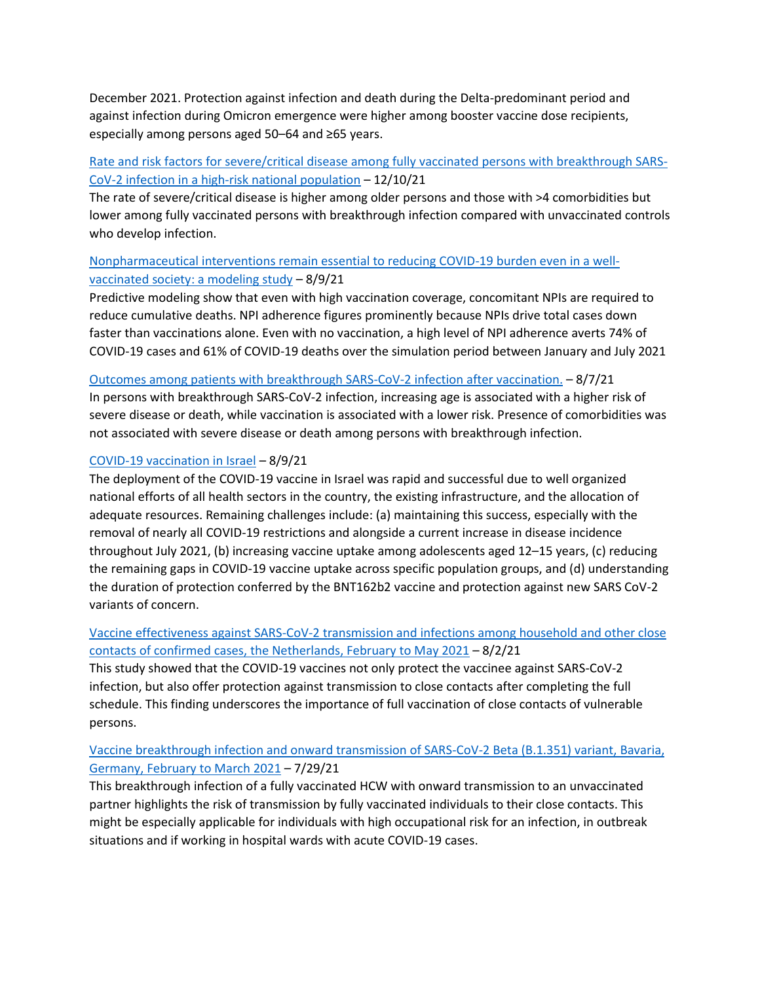December 2021. Protection against infection and death during the Delta-predominant period and against infection during Omicron emergence were higher among booster vaccine dose recipients, especially among persons aged 50–64 and ≥65 years.

## [Rate and risk factors for severe/critical disease among fully vaccinated persons with breakthrough SARS-](https://doi.org/10.1093/cid/ciab1023)[CoV-2 infection in a high-risk national population](https://doi.org/10.1093/cid/ciab1023) – 12/10/21

The rate of severe/critical disease is higher among older persons and those with >4 comorbidities but lower among fully vaccinated persons with breakthrough infection compared with unvaccinated controls who develop infection.

## [Nonpharmaceutical interventions remain essential to reducing COVID-19 burden even in a well](https://doi.org/10.1093/ofid/ofab415)[vaccinated society: a modeling study](https://doi.org/10.1093/ofid/ofab415) – 8/9/21

Predictive modeling show that even with high vaccination coverage, concomitant NPIs are required to reduce cumulative deaths. NPI adherence figures prominently because NPIs drive total cases down faster than vaccinations alone. Even with no vaccination, a high level of NPI adherence averts 74% of COVID-19 cases and 61% of COVID-19 deaths over the simulation period between January and July 2021

#### [Outcomes among patients with breakthrough SARS-CoV-2 infection after vaccination.](https://doi.org/10.1016/j.ijid.2021.08.008) – 8/7/21

In persons with breakthrough SARS-CoV-2 infection, increasing age is associated with a higher risk of severe disease or death, while vaccination is associated with a lower risk. Presence of comorbidities was not associated with severe disease or death among persons with breakthrough infection.

#### [COVID-19 vaccination in Israel](https://doi.org/10.1016/j.cmi.2021.07.041) – 8/9/21

The deployment of the COVID-19 vaccine in Israel was rapid and successful due to well organized national efforts of all health sectors in the country, the existing infrastructure, and the allocation of adequate resources. Remaining challenges include: (a) maintaining this success, especially with the removal of nearly all COVID-19 restrictions and alongside a current increase in disease incidence throughout July 2021, (b) increasing vaccine uptake among adolescents aged 12–15 years, (c) reducing the remaining gaps in COVID-19 vaccine uptake across specific population groups, and (d) understanding the duration of protection conferred by the BNT162b2 vaccine and protection against new SARS CoV-2 variants of concern.

## [Vaccine effectiveness against SARS-CoV-2 transmission and infections among household and other close](https://doi.org/10.2807/1560-7917.ES.2021.26.31.2100640)  [contacts of confirmed cases, the Netherlands, February to May 2021](https://doi.org/10.2807/1560-7917.ES.2021.26.31.2100640) – 8/2/21

This study showed that the COVID-19 vaccines not only protect the vaccinee against SARS-CoV-2 infection, but also offer protection against transmission to close contacts after completing the full schedule. This finding underscores the importance of full vaccination of close contacts of vulnerable persons.

## [Vaccine breakthrough infection and onward transmission of SARS-CoV-2 Beta \(B.1.351\) variant, Bavaria,](https://doi.org/10.2807/1560-7917.ES.2021.26.30.2100673)  [Germany, February to March 2021](https://doi.org/10.2807/1560-7917.ES.2021.26.30.2100673) – 7/29/21

This breakthrough infection of a fully vaccinated HCW with onward transmission to an unvaccinated partner highlights the risk of transmission by fully vaccinated individuals to their close contacts. This might be especially applicable for individuals with high occupational risk for an infection, in outbreak situations and if working in hospital wards with acute COVID-19 cases.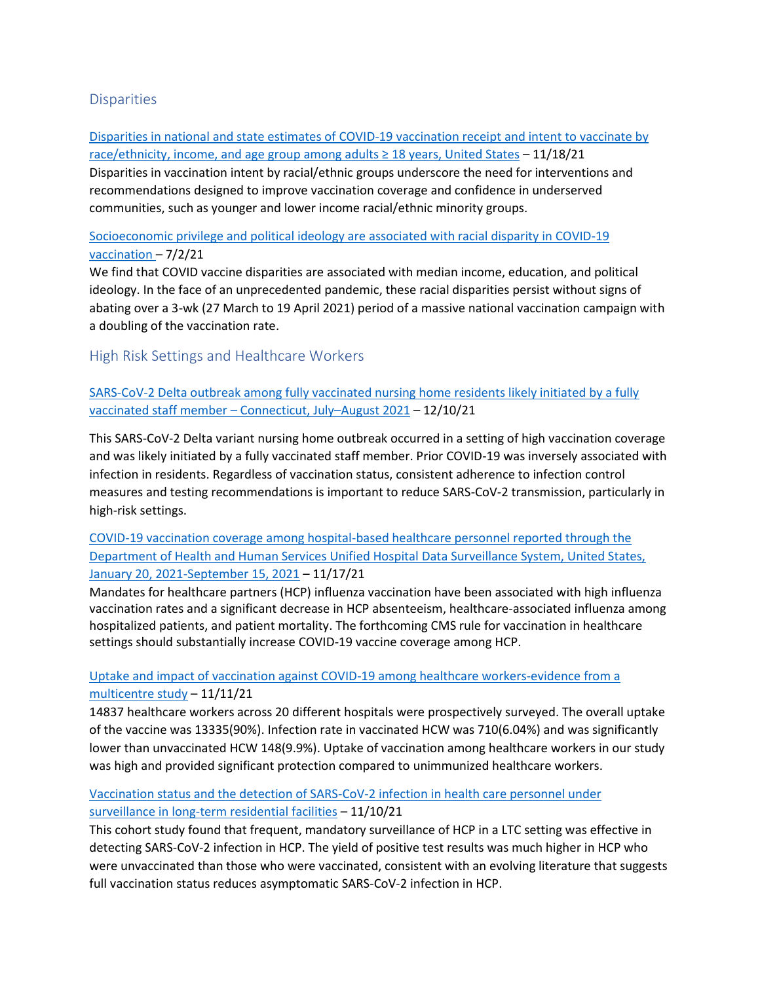## <span id="page-23-0"></span>**Disparities**

[Disparities in national and state estimates of COVID-19 vaccination receipt and intent to vaccinate by](https://doi.org/10.1016/j.vaccine.2021.11.040)  race/ethnicity, income, and age group among adults  $\geq 18$  years, United States – 11/18/21 Disparities in vaccination intent by racial/ethnic groups underscore the need for interventions and recommendations designed to improve vaccination coverage and confidence in underserved communities, such as younger and lower income racial/ethnic minority groups.

## [Socioeconomic privilege and political ideology are associated with racial disparity in COVID-19](https://www.pnas.org/doi/10.1073/pnas.2107873118)  [vaccination](https://www.pnas.org/doi/10.1073/pnas.2107873118) – 7/2/21

We find that COVID vaccine disparities are associated with median income, education, and political ideology. In the face of an unprecedented pandemic, these racial disparities persist without signs of abating over a 3-wk (27 March to 19 April 2021) period of a massive national vaccination campaign with a doubling of the vaccination rate.

## <span id="page-23-1"></span>High Risk Settings and Healthcare Workers

[SARS-CoV-2 Delta outbreak among fully vaccinated nursing home residents likely initiated by a fully](https://doi.org/10.1093/cid/ciab1025)  [vaccinated staff member](https://doi.org/10.1093/cid/ciab1025) – Connecticut, July–August 2021 – 12/10/21

This SARS-CoV-2 Delta variant nursing home outbreak occurred in a setting of high vaccination coverage and was likely initiated by a fully vaccinated staff member. Prior COVID-19 was inversely associated with infection in residents. Regardless of vaccination status, consistent adherence to infection control measures and testing recommendations is important to reduce SARS-CoV-2 transmission, particularly in high-risk settings.

## [COVID-19 vaccination coverage among hospital-based healthcare personnel reported through the](https://doi.org/10.1016/j.ajic.2021.10.008)  [Department of Health and Human Services Unified Hospital Data Surveillance System, United States,](https://doi.org/10.1016/j.ajic.2021.10.008)  [January 20, 2021-September 15, 2021](https://doi.org/10.1016/j.ajic.2021.10.008) – 11/17/21

Mandates for healthcare partners (HCP) influenza vaccination have been associated with high influenza vaccination rates and a significant decrease in HCP absenteeism, healthcare-associated influenza among hospitalized patients, and patient mortality. The forthcoming CMS rule for vaccination in healthcare settings should substantially increase COVID-19 vaccine coverage among HCP.

## [Uptake and impact of vaccination against COVID-19 among healthcare workers-evidence from a](https://doi.org/10.1016/j.ajic.2021.10.036)  [multicentre study](https://doi.org/10.1016/j.ajic.2021.10.036) – 11/11/21

14837 healthcare workers across 20 different hospitals were prospectively surveyed. The overall uptake of the vaccine was 13335(90%). Infection rate in vaccinated HCW was 710(6.04%) and was significantly lower than unvaccinated HCW 148(9.9%). Uptake of vaccination among healthcare workers in our study was high and provided significant protection compared to unimmunized healthcare workers.

## [Vaccination status and the detection of SARS-CoV-2 infection in health care personnel under](https://jamanetwork.com/journals/jamanetworkopen/fullarticle/2785925)  [surveillance in long-term residential facilities](https://jamanetwork.com/journals/jamanetworkopen/fullarticle/2785925) – 11/10/21

This cohort study found that frequent, mandatory surveillance of HCP in a LTC setting was effective in detecting SARS-CoV-2 infection in HCP. The yield of positive test results was much higher in HCP who were unvaccinated than those who were vaccinated, consistent with an evolving literature that suggests full vaccination status reduces asymptomatic SARS-CoV-2 infection in HCP.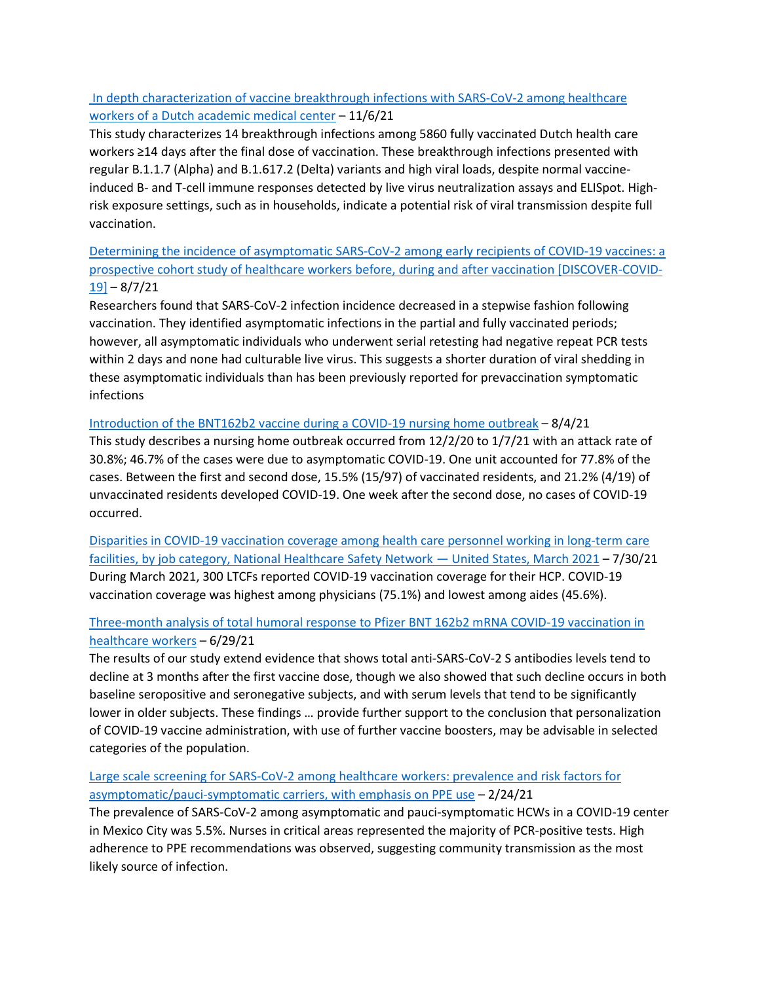## [In depth characterization of vaccine breakthrough infections with SARS-CoV-2 among healthcare](https://doi.org/10.1093/ofid/ofab553)  [workers of a Dutch academic medical center](https://doi.org/10.1093/ofid/ofab553) – 11/6/21

This study characterizes 14 breakthrough infections among 5860 fully vaccinated Dutch health care workers ≥14 days after the final dose of vaccination. These breakthrough infections presented with regular B.1.1.7 (Alpha) and B.1.617.2 (Delta) variants and high viral loads, despite normal vaccineinduced B- and T-cell immune responses detected by live virus neutralization assays and ELISpot. Highrisk exposure settings, such as in households, indicate a potential risk of viral transmission despite full vaccination.

## [Determining the incidence of asymptomatic SARS-CoV-2 among early recipients of COVID-19 vaccines: a](https://doi.org/10.1093/cid/ciab643)  [prospective cohort study of healthcare workers before, during and after vaccination \[DISCOVER-COVID-](https://doi.org/10.1093/cid/ciab643) $19$ ] – 8/7/21

Researchers found that SARS-CoV-2 infection incidence decreased in a stepwise fashion following vaccination. They identified asymptomatic infections in the partial and fully vaccinated periods; however, all asymptomatic individuals who underwent serial retesting had negative repeat PCR tests within 2 days and none had culturable live virus. This suggests a shorter duration of viral shedding in these asymptomatic individuals than has been previously reported for prevaccination symptomatic infections

## [Introduction of the BNT162b2 vaccine during a COVID-19 nursing home outbreak](https://doi.org/10.1016/j.ajic.2021.07.019) – 8/4/21

This study describes a nursing home outbreak occurred from 12/2/20 to 1/7/21 with an attack rate of 30.8%; 46.7% of the cases were due to asymptomatic COVID-19. One unit accounted for 77.8% of the cases. Between the first and second dose, 15.5% (15/97) of vaccinated residents, and 21.2% (4/19) of unvaccinated residents developed COVID-19. One week after the second dose, no cases of COVID-19 occurred.

[Disparities in COVID-19 vaccination coverage among health care personnel working in long-term care](http://dx.doi.org/10.15585/mmwr.mm7030a2)  [facilities, by job category, National Healthcare Safety Network](http://dx.doi.org/10.15585/mmwr.mm7030a2) — United States, March 2021 – 7/30/21 During March 2021, 300 LTCFs reported COVID-19 vaccination coverage for their HCP. COVID-19 vaccination coverage was highest among physicians (75.1%) and lowest among aides (45.6%).

## [Three-month analysis of total humoral response to Pfizer BNT 162b2 mRNA COVID-19 vaccination in](https://doi.org/10.1016/j.jinf.2021.06.024)  [healthcare workers](https://doi.org/10.1016/j.jinf.2021.06.024) – 6/29/21

The results of our study extend evidence that shows total anti-SARS-CoV-2 S antibodies levels tend to decline at 3 months after the first vaccine dose, though we also showed that such decline occurs in both baseline seropositive and seronegative subjects, and with serum levels that tend to be significantly lower in older subjects. These findings … provide further support to the conclusion that personalization of COVID-19 vaccine administration, with use of further vaccine boosters, may be advisable in selected categories of the population.

## [Large scale screening for SARS-CoV-2 among healthcare workers: prevalence and risk factors for](https://doi.org/10.1017/ice.2021.68)  [asymptomatic/pauci-symptomatic carriers, with emphasis on PPE use](https://doi.org/10.1017/ice.2021.68) – 2/24/21

The prevalence of SARS-CoV-2 among asymptomatic and pauci-symptomatic HCWs in a COVID-19 center in Mexico City was 5.5%. Nurses in critical areas represented the majority of PCR-positive tests. High adherence to PPE recommendations was observed, suggesting community transmission as the most likely source of infection.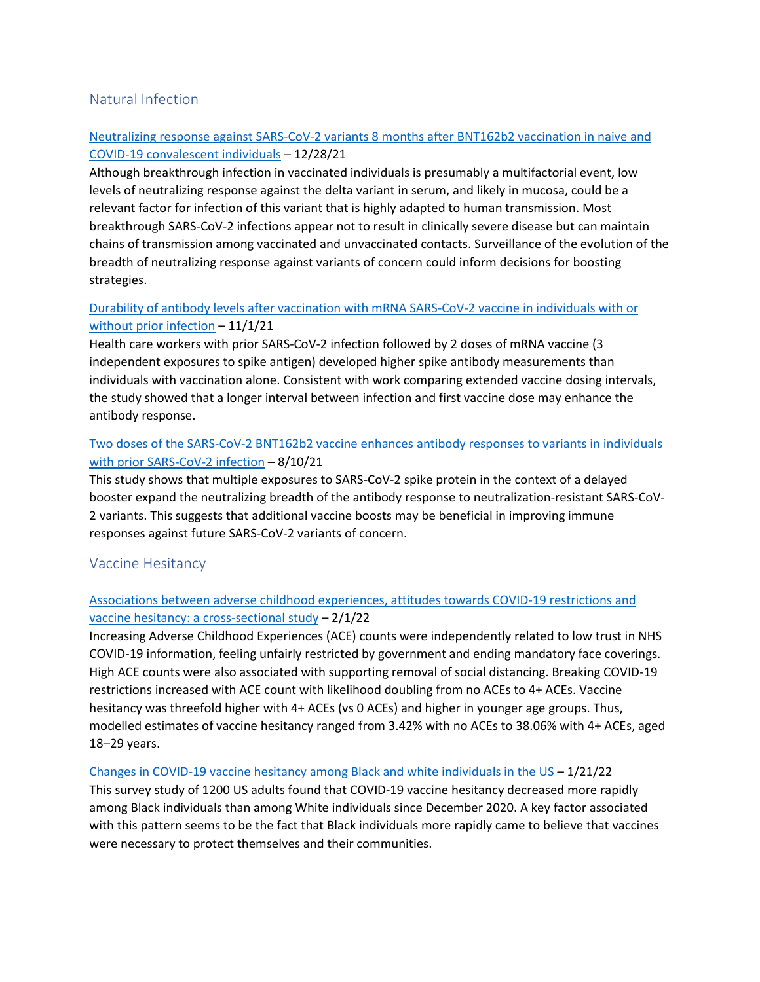## <span id="page-25-0"></span>Natural Infection

## [Neutralizing response against SARS-CoV-2 variants 8 months after BNT162b2 vaccination in naive and](https://doi.org/10.1093/infdis/jiab634)  [COVID-19 convalescent individuals](https://doi.org/10.1093/infdis/jiab634) – 12/28/21

Although breakthrough infection in vaccinated individuals is presumably a multifactorial event, low levels of neutralizing response against the delta variant in serum, and likely in mucosa, could be a relevant factor for infection of this variant that is highly adapted to human transmission. Most breakthrough SARS-CoV-2 infections appear not to result in clinically severe disease but can maintain chains of transmission among vaccinated and unvaccinated contacts. Surveillance of the evolution of the breadth of neutralizing response against variants of concern could inform decisions for boosting strategies.

## [Durability of antibody levels after vaccination with mRNA SARS-CoV-2 vaccine in individuals with or](https://jamanetwork.com/journals/jama/fullarticle/2785919)  [without prior infection](https://jamanetwork.com/journals/jama/fullarticle/2785919) – 11/1/21

Health care workers with prior SARS-CoV-2 infection followed by 2 doses of mRNA vaccine (3 independent exposures to spike antigen) developed higher spike antibody measurements than individuals with vaccination alone. Consistent with work comparing extended vaccine dosing intervals, the study showed that a longer interval between infection and first vaccine dose may enhance the antibody response.

## [Two doses of the SARS-CoV-2 BNT162b2 vaccine enhances antibody responses to variants in individuals](https://www.science.org/doi/full/10.1126/scitranslmed.abj0847)  [with prior SARS-CoV-2 infection](https://www.science.org/doi/full/10.1126/scitranslmed.abj0847) – 8/10/21

This study shows that multiple exposures to SARS-CoV-2 spike protein in the context of a delayed booster expand the neutralizing breadth of the antibody response to neutralization-resistant SARS-CoV-2 variants. This suggests that additional vaccine boosts may be beneficial in improving immune responses against future SARS-CoV-2 variants of concern.

## <span id="page-25-1"></span>Vaccine Hesitancy

## [Associations between adverse childhood experiences, attitudes towards COVID-19 restrictions and](https://bmjopen.bmj.com/content/12/2/e053915)  [vaccine hesitancy: a cross-sectional study](https://bmjopen.bmj.com/content/12/2/e053915) – 2/1/22

Increasing Adverse Childhood Experiences (ACE) counts were independently related to low trust in NHS COVID-19 information, feeling unfairly restricted by government and ending mandatory face coverings. High ACE counts were also associated with supporting removal of social distancing. Breaking COVID-19 restrictions increased with ACE count with likelihood doubling from no ACEs to 4+ ACEs. Vaccine hesitancy was threefold higher with 4+ ACEs (vs 0 ACEs) and higher in younger age groups. Thus, modelled estimates of vaccine hesitancy ranged from 3.42% with no ACEs to 38.06% with 4+ ACEs, aged 18–29 years.

## [Changes in COVID-19 vaccine hesitancy among Black and white individuals in the US](https://jamanetwork.com/journals/jamanetworkopen/fullarticle/2788286) – 1/21/22

This survey study of 1200 US adults found that COVID-19 vaccine hesitancy decreased more rapidly among Black individuals than among White individuals since December 2020. A key factor associated with this pattern seems to be the fact that Black individuals more rapidly came to believe that vaccines were necessary to protect themselves and their communities.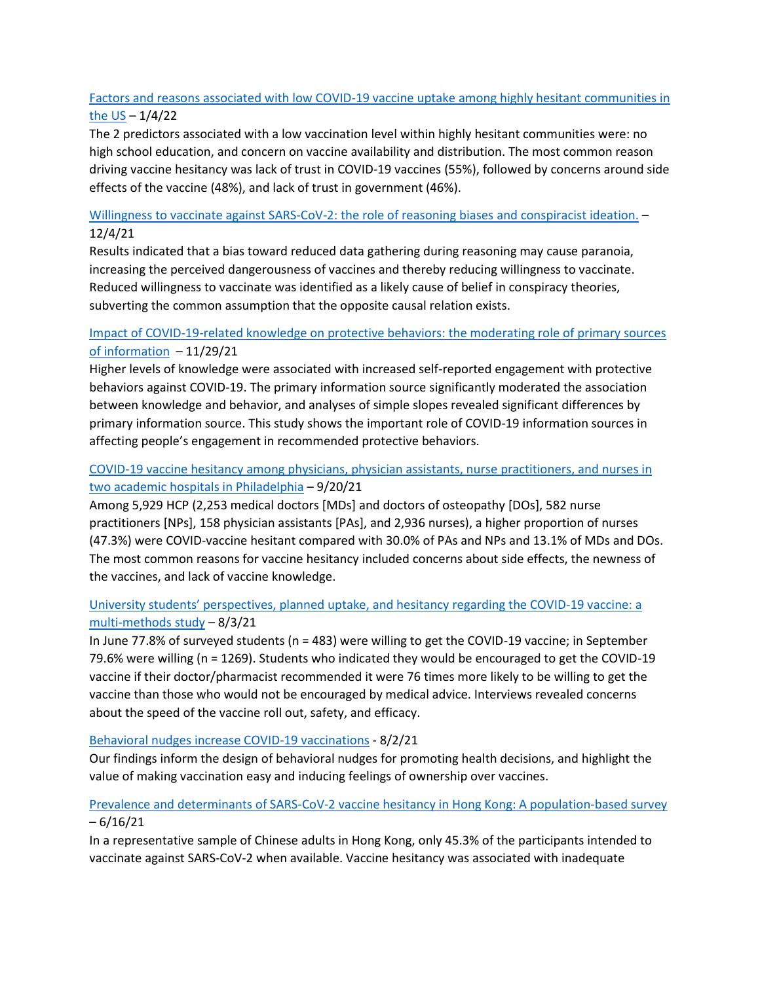## [Factors and reasons associated with low COVID-19 vaccine uptake among highly hesitant communities in](https://doi.org/10.1016/j.ajic.2021.12.013)  [the US](https://doi.org/10.1016/j.ajic.2021.12.013) – 1/4/22

The 2 predictors associated with a low vaccination level within highly hesitant communities were: no high school education, and concern on vaccine availability and distribution. The most common reason driving vaccine hesitancy was lack of trust in COVID-19 vaccines (55%), followed by concerns around side effects of the vaccine (48%), and lack of trust in government (46%).

## [Willingness to vaccinate against SARS-CoV-2: the role of reasoning biases](https://doi.org/10.1016/j.vaccine.2021.11.079) and conspiracist ideation.  $-$ 12/4/21

Results indicated that a bias toward reduced data gathering during reasoning may cause paranoia, increasing the perceived dangerousness of vaccines and thereby reducing willingness to vaccinate. Reduced willingness to vaccinate was identified as a likely cause of belief in conspiracy theories, subverting the common assumption that the opposite causal relation exists.

## [Impact of COVID-19-related knowledge on protective behaviors: the moderating role of primary sources](https://doi.org/10.1371/journal.pone.0260643)  [of information](https://doi.org/10.1371/journal.pone.0260643) – 11/29/21

Higher levels of knowledge were associated with increased self-reported engagement with protective behaviors against COVID-19. The primary information source significantly moderated the association between knowledge and behavior, and analyses of simple slopes revealed significant differences by primary information source. This study shows the important role of COVID-19 information sources in affecting people's engagement in recommended protective behaviors.

## [COVID-19 vaccine hesitancy among physicians, physician assistants, nurse practitioners, and nurses in](https://doi.org/10.1017/ice.2021.410)  [two academic hospitals in Philadelphia](https://doi.org/10.1017/ice.2021.410) – 9/20/21

Among 5,929 HCP (2,253 medical doctors [MDs] and doctors of osteopathy [DOs], 582 nurse practitioners [NPs], 158 physician assistants [PAs], and 2,936 nurses), a higher proportion of nurses (47.3%) were COVID-vaccine hesitant compared with 30.0% of PAs and NPs and 13.1% of MDs and DOs. The most common reasons for vaccine hesitancy included concerns about side effects, the newness of the vaccines, and lack of vaccine knowledge.

## [University students' perspectives, planned uptake, and hesitancy regarding the COVID](https://journals.plos.org/plosone/article?id=10.1371/journal.pone.0255447)-19 vaccine: a [multi-methods study](https://journals.plos.org/plosone/article?id=10.1371/journal.pone.0255447) – 8/3/21

In June 77.8% of surveyed students (n = 483) were willing to get the COVID-19 vaccine; in September 79.6% were willing (n = 1269). Students who indicated they would be encouraged to get the COVID-19 vaccine if their doctor/pharmacist recommended it were 76 times more likely to be willing to get the vaccine than those who would not be encouraged by medical advice. Interviews revealed concerns about the speed of the vaccine roll out, safety, and efficacy.

## [Behavioral nudges increase COVID-19 vaccinations](https://marincounty.sharepoint.com/sites/MarinCountyHealthOfficer/Shared%20Documents/Forms) - 8/2/21

Our findings inform the design of behavioral nudges for promoting health decisions, and highlight the value of making vaccination easy and inducing feelings of ownership over vaccines.

## [Prevalence and determinants of SARS-CoV-2 vaccine hesitancy in Hong Kong: A population-based survey](https://doi.org/10.1016/j.vaccine.2021.05.036) – 6/16/21

In a representative sample of Chinese adults in Hong Kong, only 45.3% of the participants intended to vaccinate against SARS-CoV-2 when available. Vaccine hesitancy was associated with inadequate